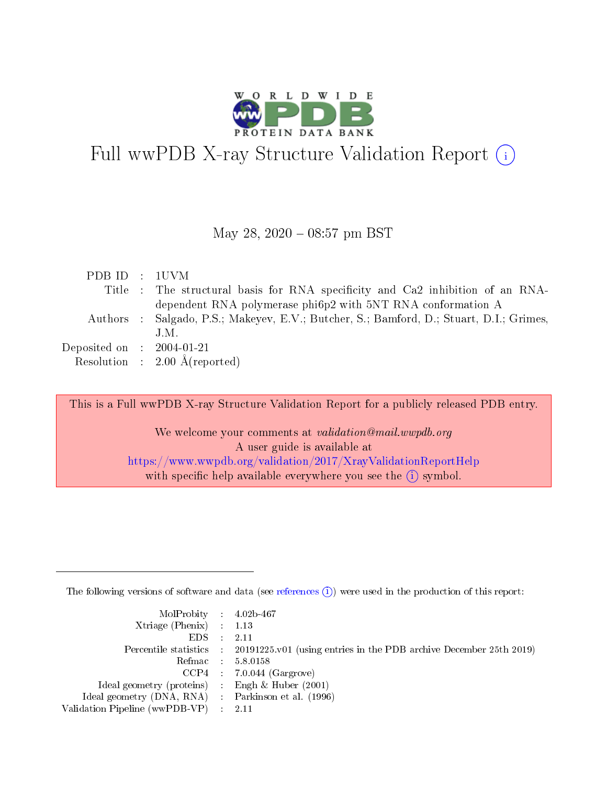

# Full wwPDB X-ray Structure Validation Report  $(i)$

#### May 28, 2020 - 08:57 pm BST

| PDB ID : 1UVM               |                                                                                         |
|-----------------------------|-----------------------------------------------------------------------------------------|
|                             | Title : The structural basis for RNA specificity and Ca2 inhibition of an RNA-          |
|                             | dependent RNA polymerase phi6p2 with 5NT RNA conformation A                             |
|                             | Authors : Salgado, P.S.; Makeyev, E.V.; Butcher, S.; Bamford, D.; Stuart, D.I.; Grimes, |
|                             | J.M.                                                                                    |
| Deposited on : $2004-01-21$ |                                                                                         |
|                             | Resolution : $2.00 \text{ Å}$ (reported)                                                |
|                             |                                                                                         |

This is a Full wwPDB X-ray Structure Validation Report for a publicly released PDB entry.

We welcome your comments at validation@mail.wwpdb.org A user guide is available at <https://www.wwpdb.org/validation/2017/XrayValidationReportHelp> with specific help available everywhere you see the  $(i)$  symbol.

The following versions of software and data (see [references](https://www.wwpdb.org/validation/2017/XrayValidationReportHelp#references)  $(i)$ ) were used in the production of this report:

| $MolProbability$ 4.02b-467                          |                                                                                            |
|-----------------------------------------------------|--------------------------------------------------------------------------------------------|
| Xtriage (Phenix) $: 1.13$                           |                                                                                            |
| EDS -                                               | -2.11                                                                                      |
|                                                     | Percentile statistics : 20191225.v01 (using entries in the PDB archive December 25th 2019) |
|                                                     | Refmac 58.0158                                                                             |
|                                                     | $CCP4$ : 7.0.044 (Gargrove)                                                                |
| Ideal geometry (proteins) : Engh $\&$ Huber (2001)  |                                                                                            |
| Ideal geometry (DNA, RNA) : Parkinson et al. (1996) |                                                                                            |
| Validation Pipeline (wwPDB-VP) :                    | -2.11                                                                                      |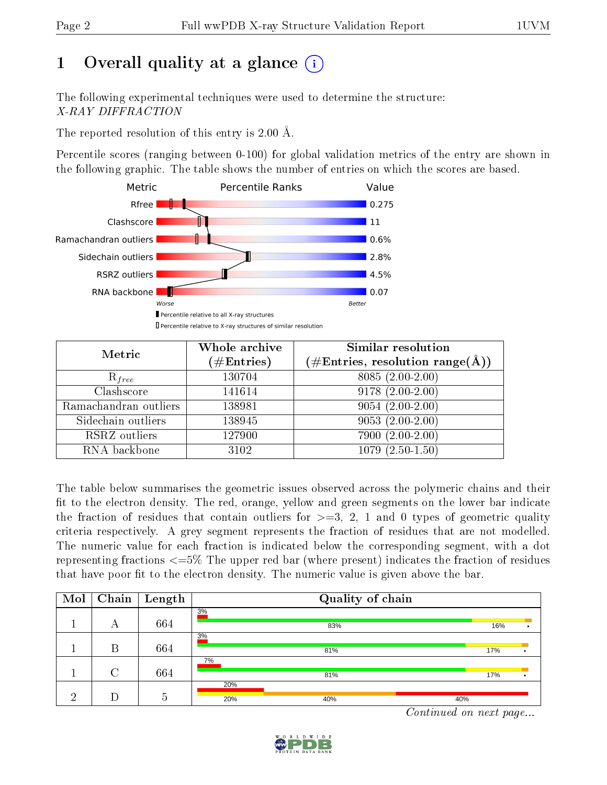# 1 [O](https://www.wwpdb.org/validation/2017/XrayValidationReportHelp#overall_quality)verall quality at a glance  $(i)$

The following experimental techniques were used to determine the structure: X-RAY DIFFRACTION

The reported resolution of this entry is 2.00 Å.

Percentile scores (ranging between 0-100) for global validation metrics of the entry are shown in the following graphic. The table shows the number of entries on which the scores are based.



| Metric                | Whole archive          | <b>Similar resolution</b>                                 |  |  |
|-----------------------|------------------------|-----------------------------------------------------------|--|--|
|                       | $(\#\mathrm{Entries})$ | $(\#\text{Entries}, \text{resolution range}(\text{\AA}))$ |  |  |
| $\mathrm{R}_{free}$   | 130704                 | $8085(2.00-2.00)$                                         |  |  |
| Clashscore            | 141614                 | $9178(2.00-2.00)$                                         |  |  |
| Ramachandran outliers | 138981                 | $9054(2.00-2.00)$                                         |  |  |
| Sidechain outliers    | 138945                 | $9053(2.00-2.00)$                                         |  |  |
| RSRZ outliers         | 127900                 | 7900 (2.00-2.00)                                          |  |  |
| RNA backbone          | 3102                   | $1079(2.50-1.50)$                                         |  |  |

The table below summarises the geometric issues observed across the polymeric chains and their fit to the electron density. The red, orange, yellow and green segments on the lower bar indicate the fraction of residues that contain outliers for  $>=3, 2, 1$  and 0 types of geometric quality criteria respectively. A grey segment represents the fraction of residues that are not modelled. The numeric value for each fraction is indicated below the corresponding segment, with a dot representing fractions  $\epsilon = 5\%$  The upper red bar (where present) indicates the fraction of residues that have poor fit to the electron density. The numeric value is given above the bar.

| Mol |        | $\boxed{\text{Chain}}$ Length |            | Quality of chain |     |     |  |
|-----|--------|-------------------------------|------------|------------------|-----|-----|--|
|     | А      | 664                           | 3%         | 83%              |     | 16% |  |
|     | В      | 664                           | 3%         | 81%              |     | 17% |  |
|     | $\cap$ | 664                           | 7%         | 81%              |     | 17% |  |
| ച   |        | .5                            | 20%<br>20% | 40%              | 40% |     |  |

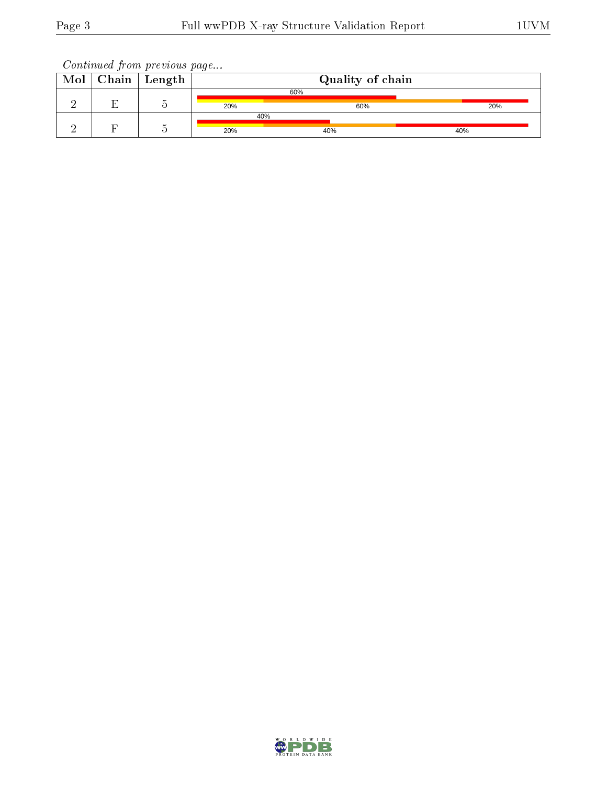| Mol | Chain | ' Length |     | Quality of chain |     |
|-----|-------|----------|-----|------------------|-----|
|     |       |          |     | 60%              |     |
|     |       |          | 20% | 60%              | 20% |
|     |       |          | 40% |                  |     |
|     |       |          | 20% | 40%              | 40% |

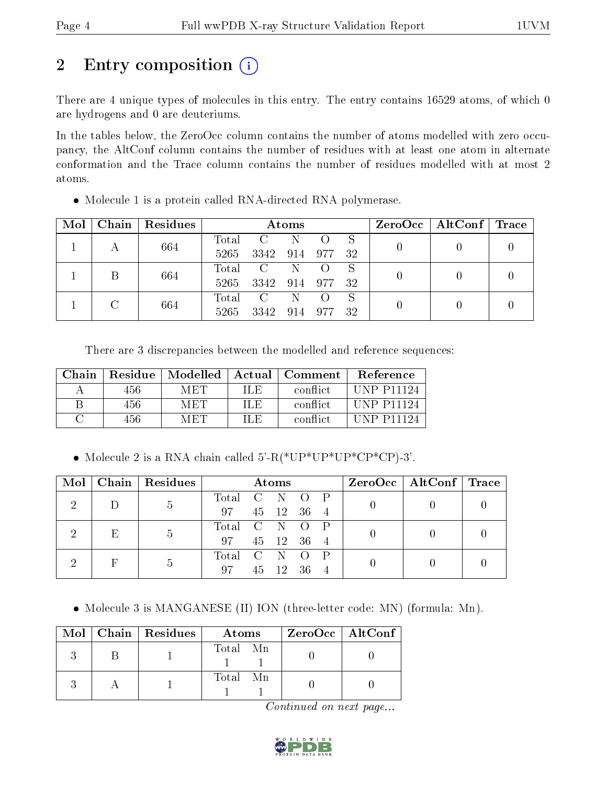# 2 Entry composition  $\left( \cdot \right)$

There are 4 unique types of molecules in this entry. The entry contains 16529 atoms, of which 0 are hydrogens and 0 are deuteriums.

In the tables below, the ZeroOcc column contains the number of atoms modelled with zero occupancy, the AltConf column contains the number of residues with at least one atom in alternate conformation and the Trace column contains the number of residues modelled with at most 2 atoms.

| Mol | Chain   Residues | Atoms |              |         |     | $\rm ZeroOcc \mid AltConf \mid Trace$ |  |  |  |
|-----|------------------|-------|--------------|---------|-----|---------------------------------------|--|--|--|
|     | 664              | Total | $\mathbf{C}$ | N       |     | S                                     |  |  |  |
|     |                  | 5265  | 3342         | 914 977 |     | -32                                   |  |  |  |
|     | 664              | Total | $\mathbf C$  | N       |     | S                                     |  |  |  |
|     |                  | 5265  | 3342 914 977 |         |     | - 32                                  |  |  |  |
|     |                  | Total | C            | -N      |     | S                                     |  |  |  |
|     | 664              | 5265  | 3342         | 914     | 977 | -32                                   |  |  |  |

• Molecule 1 is a protein called RNA-directed RNA polymerase.

There are 3 discrepancies between the modelled and reference sequences:

| Chain | Residue <sup>1</sup> | Modelled   |      | $\mid$ Actual $\mid$ Comment $\mid$ | Reference          |
|-------|----------------------|------------|------|-------------------------------------|--------------------|
|       | 456.                 | <b>MET</b> | ILE. | conflict                            | <b>IINP P11194</b> |
|       | 456                  | MET        | IL E | conflict                            | <b>IINP P11124</b> |
|       | 456.                 | M ET P     | IL E | conflict                            | $\Box$ NP P11194   |

• Molecule 2 is a RNA chain called  $5'-R(*UP*UP*UP*CP*CP)-3'$ .

| Mol |   | Chain Residues | Atoms         |  |            | $ZeroOcc \mid AltConf \mid Trace$ |  |  |  |
|-----|---|----------------|---------------|--|------------|-----------------------------------|--|--|--|
|     |   | $\mathfrak{h}$ | Total C N O P |  |            |                                   |  |  |  |
|     |   |                | 97            |  | 45 12 36 4 |                                   |  |  |  |
|     | E |                | Total C N O   |  |            |                                   |  |  |  |
|     |   | -5             | 97            |  | 45 12 36 4 |                                   |  |  |  |
|     | F | -h             | Total C N O   |  |            |                                   |  |  |  |
|     |   |                | 97            |  | 45 12 36   |                                   |  |  |  |

• Molecule 3 is MANGANESE (II) ION (three-letter code: MN) (formula: Mn).

|  | Mol   Chain   Residues | Atoms    | $ZeroOcc$   AltConf |
|--|------------------------|----------|---------------------|
|  |                        | Total Mn |                     |
|  |                        | Total Mn |                     |

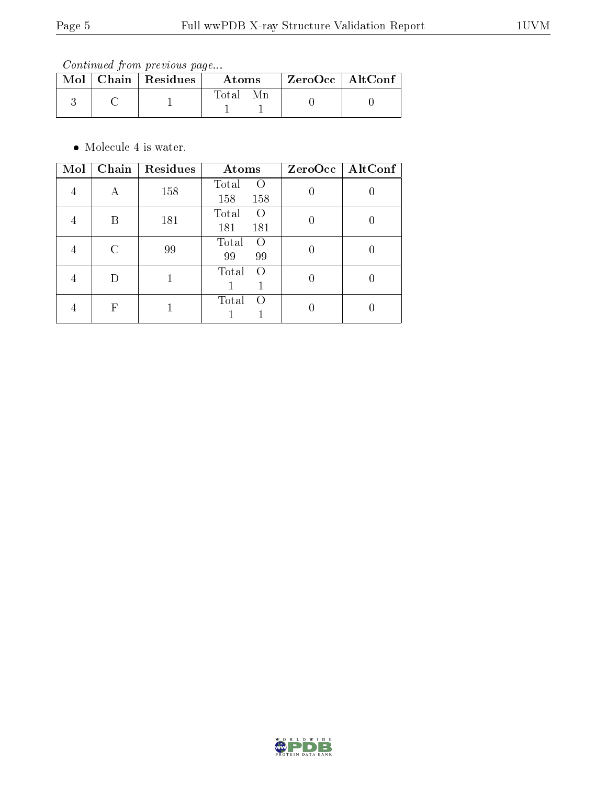Continued from previous page...

|  | $\text{Mol}$   Chain   Residues | Atoms | ZeroOcc   AltConf |
|--|---------------------------------|-------|-------------------|
|  |                                 | Total |                   |

• Molecule 4 is water.

| Mol | Chain | Residues | Atoms                                   | $ZeroOcc \   \$ AltConf |
|-----|-------|----------|-----------------------------------------|-------------------------|
| 4   | А     | 158      | Total<br>$\left( \right)$<br>158<br>158 |                         |
|     | В     | 181      | Total<br>$\left( \right)$<br>181<br>181 |                         |
|     | C     | 99       | Total<br>$\Omega$<br>99<br>99           |                         |
|     | D     |          | Total<br>$\left($                       |                         |
|     | F     |          | Total<br>$\left( \right)$               |                         |

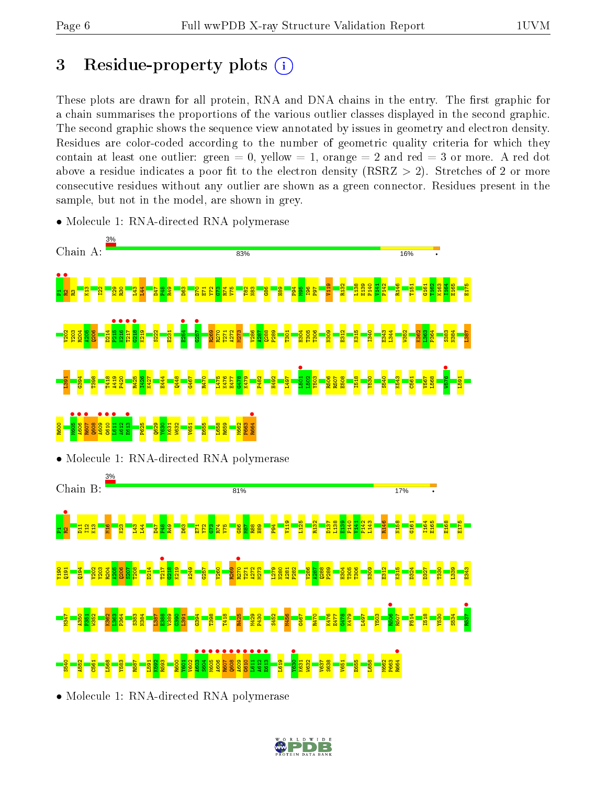## 3 Residue-property plots  $(i)$

These plots are drawn for all protein, RNA and DNA chains in the entry. The first graphic for a chain summarises the proportions of the various outlier classes displayed in the second graphic. The second graphic shows the sequence view annotated by issues in geometry and electron density. Residues are color-coded according to the number of geometric quality criteria for which they contain at least one outlier: green  $= 0$ , yellow  $= 1$ , orange  $= 2$  and red  $= 3$  or more. A red dot above a residue indicates a poor fit to the electron density (RSRZ  $> 2$ ). Stretches of 2 or more consecutive residues without any outlier are shown as a green connector. Residues present in the sample, but not in the model, are shown in grey.



• Molecule 1: RNA-directed RNA polymerase

• Molecule 1: RNA-directed RNA polymerase

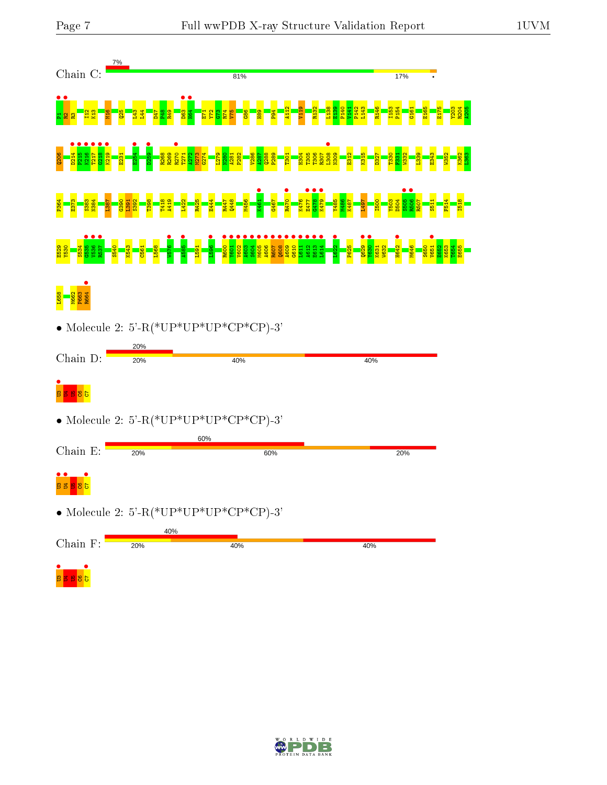

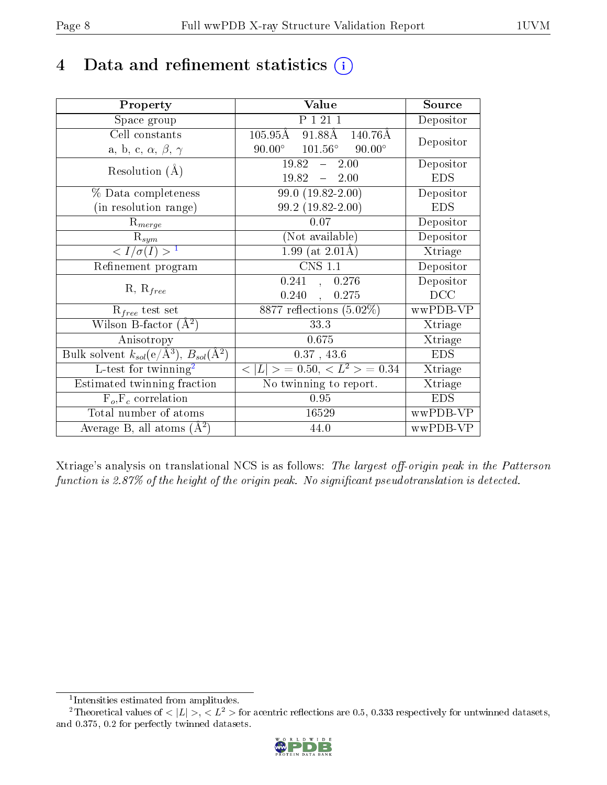## 4 Data and refinement statistics  $(i)$

| Property                                                         | Value                                                       | Source     |
|------------------------------------------------------------------|-------------------------------------------------------------|------------|
| Space group                                                      | P 1 21 1                                                    | Depositor  |
| Cell constants                                                   | $105.95\text{\AA}$ 91.88 $\text{\AA}$<br>$140.76\text{\AA}$ | Depositor  |
| a, b, c, $\alpha$ , $\beta$ , $\gamma$                           | $90.00^{\circ}$<br>$101.56^{\circ}$<br>$90.00^{\circ}$      |            |
| Resolution $(A)$                                                 | $19.82 - 2.00$                                              | Depositor  |
|                                                                  | $19.82 - 2.00$                                              | <b>EDS</b> |
| $\%$ Data completeness                                           | $99.0(19.82-2.00)$                                          | Depositor  |
| (in resolution range)                                            | 99.2 (19.82-2.00)                                           | <b>EDS</b> |
| $R_{merge}$                                                      | 0.07                                                        | Depositor  |
| $\mathrm{R}_{sym}$                                               | (Not available)                                             | Depositor  |
| $\langle I/\sigma(I) \rangle^{-1}$                               | $1.99$ (at $2.01\text{\AA}$ )                               | Xtriage    |
| Refinement program                                               | $\overline{\text{CNS} 1.1}$                                 | Depositor  |
|                                                                  | 0.241, 0.276                                                | Depositor  |
| $R, R_{free}$                                                    | $0.240\,$<br>0.275<br>$\mathbf{r}$                          | DCC        |
| $R_{free}$ test set                                              | 8877 reflections $(5.02\%)$                                 | wwPDB-VP   |
| Wilson B-factor $(A^2)$                                          | 33.3                                                        | Xtriage    |
| Anisotropy                                                       | 0.675                                                       | Xtriage    |
| Bulk solvent $k_{sol}(\text{e}/\text{A}^3), B_{sol}(\text{A}^2)$ | 0.37, 43.6                                                  | <b>EDS</b> |
| L-test for $\mathrm{twinning}^2$                                 | $< L >$ = 0.50, $< L2 >$ = 0.34                             | Xtriage    |
| Estimated twinning fraction                                      | No twinning to report.                                      | Xtriage    |
| $\overline{F_o}, \overline{F_c}$ correlation                     | 0.95                                                        | <b>EDS</b> |
| Total number of atoms                                            | 16529                                                       | wwPDB-VP   |
| Average B, all atoms $(A^2)$                                     | 44.0                                                        | wwPDB-VP   |

Xtriage's analysis on translational NCS is as follows: The largest off-origin peak in the Patterson function is  $2.87\%$  of the height of the origin peak. No significant pseudotranslation is detected.

<sup>&</sup>lt;sup>2</sup>Theoretical values of  $\langle |L| \rangle$ ,  $\langle L^2 \rangle$  for acentric reflections are 0.5, 0.333 respectively for untwinned datasets, and 0.375, 0.2 for perfectly twinned datasets.



<span id="page-7-1"></span><span id="page-7-0"></span><sup>1</sup> Intensities estimated from amplitudes.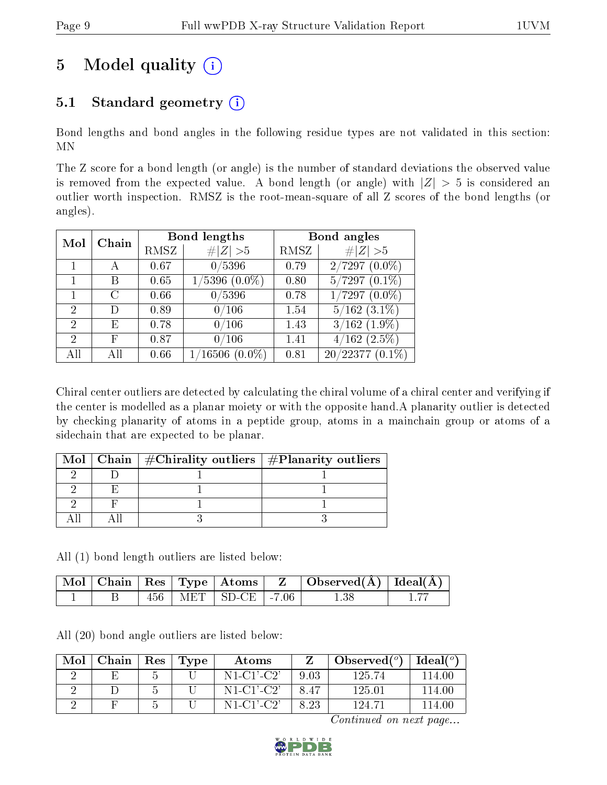# 5 Model quality  $(i)$

### 5.1 Standard geometry  $(i)$

Bond lengths and bond angles in the following residue types are not validated in this section: MN

The Z score for a bond length (or angle) is the number of standard deviations the observed value is removed from the expected value. A bond length (or angle) with  $|Z| > 5$  is considered an outlier worth inspection. RMSZ is the root-mean-square of all Z scores of the bond lengths (or angles).

| Mol           | Chain |      | Bond lengths                  | Bond angles |                   |  |
|---------------|-------|------|-------------------------------|-------------|-------------------|--|
|               |       | RMSZ | # $ Z  > 5$                   | RMSZ        | Z   > 5           |  |
|               |       | 0.67 | 0/5396                        | 0.79        | $2/7297(0.0\%)$   |  |
|               | В     | 0.65 | $1/5396$ $(0.0\%)$            | 0.80        | $5/7297(0.1\%)$   |  |
|               | C     | 0.66 | 0/5396                        | 0.78        | $1/7297(0.0\%)$   |  |
| $\mathcal{P}$ | Ð     | 0.89 | 0/106                         | 1.54        | $5/162$ $(3.1\%)$ |  |
| 2             | Е     | 0.78 | 0/106                         | 1.43        | $3/162$ $(1.9\%)$ |  |
| 2             | F     | 0.87 | 0/106                         | 1.41        | $4/162$ $(2.5\%)$ |  |
|               | АH    | 0.66 | $^{\prime}16506$<br>$(0.0\%)$ | 0.81        | $20/22377(0.1\%)$ |  |

Chiral center outliers are detected by calculating the chiral volume of a chiral center and verifying if the center is modelled as a planar moiety or with the opposite hand.A planarity outlier is detected by checking planarity of atoms in a peptide group, atoms in a mainchain group or atoms of a sidechain that are expected to be planar.

|  | Mol   Chain   $\#\text{Chirality outliers}$   $\#\text{Planarity outliers}$ |  |
|--|-----------------------------------------------------------------------------|--|
|  |                                                                             |  |
|  |                                                                             |  |
|  |                                                                             |  |
|  |                                                                             |  |

All (1) bond length outliers are listed below:

|  |     | $\mid$ Mol $\mid$ Chain $\mid$ Res $\mid$ Type $\mid$ Atoms $\mid$ - Z $\mid$ | $\Box$ Observed( $\AA$ ) $\Box$ Ideal( $\AA$ ) |  |
|--|-----|-------------------------------------------------------------------------------|------------------------------------------------|--|
|  | 456 | $+$ MET $+$ SD-CE $+$ -7.06                                                   | $1.38\,$                                       |  |

All (20) bond angle outliers are listed below:

| Mol | Chain | Res | Type | Atoms        |      | Observed $(°)$ | $Ideal(^{\circ})$ |
|-----|-------|-----|------|--------------|------|----------------|-------------------|
|     |       |     |      | $N1-C1'-C2'$ |      | 125.74         | -114.00           |
|     |       |     |      | $N1-C1'-C2'$ |      | 125.01         | 114.00            |
|     |       |     |      | $N1-C1'C2'$  | 8.23 | 124.71         | -14.00-           |

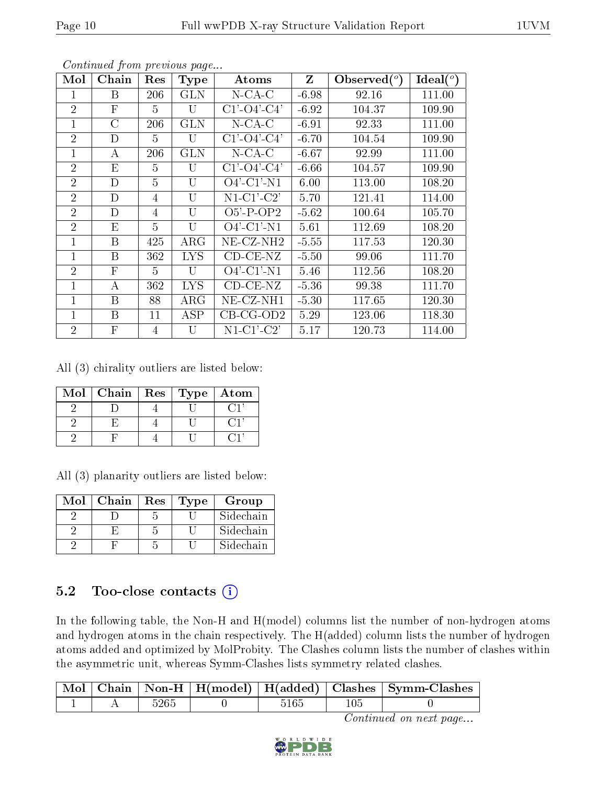| Mol            | Chain        | Res            | <b>Type</b>    | Atoms                 | Z       | $\text{Observed}(^{\text{o}})$ | Ideal $(°)$ |
|----------------|--------------|----------------|----------------|-----------------------|---------|--------------------------------|-------------|
| 1              | B            | 206            | <b>GLN</b>     | $N$ -CA-C             | $-6.98$ | 92.16                          | 111.00      |
| $\overline{2}$ | $\mathbf{F}$ | 5              | U              | $C1'$ - $O4'$ - $C4'$ | $-6.92$ | 104.37                         | 109.90      |
| $\mathbf{1}$   | $\rm C$      | 206            | <b>GLN</b>     | $N$ -CA-C             | $-6.91$ | 92.33                          | 111.00      |
| $\overline{2}$ | D            | 5              | U              | $C1'$ - $O4'$ - $C4'$ | $-6.70$ | 104.54                         | 109.90      |
| 1              | А            | 206            | <b>GLN</b>     | $N$ -CA-C             | $-6.67$ | 92.99                          | 111.00      |
| $\overline{2}$ | E            | 5              | $\overline{U}$ | $C1'$ - $O4'$ - $C4'$ | $-6.66$ | 104.57                         | 109.90      |
| $\overline{2}$ | D            | 5              | U              | $O4'$ -C1'-N1         | 6.00    | 113.00                         | 108.20      |
| $\overline{2}$ | D            | 4              | $\overline{U}$ | $N1-C1'-C2'$          | 5.70    | 121.41                         | 114.00      |
| $\overline{2}$ | D            | 4              | $\overline{U}$ | $O5'$ -P-OP2          | $-5.62$ | 100.64                         | 105.70      |
| $\overline{2}$ | E            | 5              | $\overline{U}$ | $O4'$ -C1'-N1         | 5.61    | 112.69                         | 108.20      |
| 1              | B            | 425            | $\rm{ARG}$     | $NE$ -CZ-NH2          | $-5.55$ | 117.53                         | 120.30      |
| $\mathbf 1$    | B            | 362            | <b>LYS</b>     | $CD-CE-NZ$            | $-5.50$ | 99.06                          | 111.70      |
| $\overline{2}$ | $\mathbf{F}$ | 5              | U              | $O4'$ -C1'-N1         | 5.46    | 112.56                         | 108.20      |
| 1              | A            | 362            | <b>LYS</b>     | $CD-CE-NZ$            | $-5.36$ | 99.38                          | 111.70      |
| 1              | B            | 88             | $\rm{ARG}$     | NE-CZ-NH1             | $-5.30$ | 117.65                         | 120.30      |
| $\mathbf 1$    | B            | 11             | ASP            | $CB-CG-OD2$           | 5.29    | 123.06                         | 118.30      |
| $\overline{2}$ | $\mathbf{F}$ | $\overline{4}$ | $\mathbf{U}$   | $N1-C1-C2'$           | 5.17    | 120.73                         | 114.00      |

All (3) chirality outliers are listed below:

| Mol | Chain | Res | Type | Atom |
|-----|-------|-----|------|------|
|     |       |     |      |      |
|     |       |     |      |      |
|     |       |     |      |      |

All (3) planarity outliers are listed below:

| Mol | Chain | Res | <b>Type</b> | Group     |
|-----|-------|-----|-------------|-----------|
|     |       |     |             | Sidechain |
|     |       |     |             | Sidechain |
|     |       |     |             | Sidechain |

### 5.2 Too-close contacts  $(i)$

In the following table, the Non-H and H(model) columns list the number of non-hydrogen atoms and hydrogen atoms in the chain respectively. The H(added) column lists the number of hydrogen atoms added and optimized by MolProbity. The Clashes column lists the number of clashes within the asymmetric unit, whereas Symm-Clashes lists symmetry related clashes.

|  |                 |  | Mol   Chain   Non-H   H(model)   H(added)   Clashes   Symm-Clashes |
|--|-----------------|--|--------------------------------------------------------------------|
|  | $526\mathrm{5}$ |  |                                                                    |

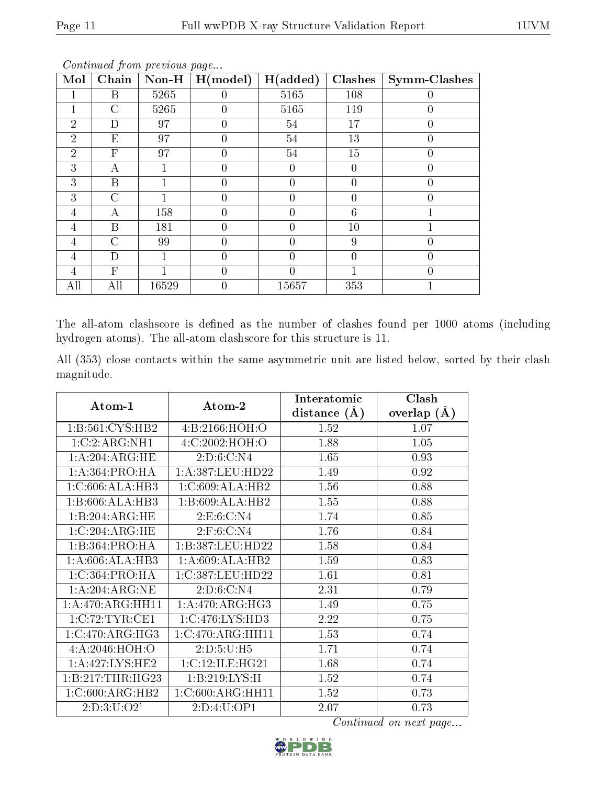| $\overline{\text{M}}$ ol | Chain                     | $Non-H$ | H (model) | H(added)         | Clashes  | Symm-Clashes     |
|--------------------------|---------------------------|---------|-----------|------------------|----------|------------------|
|                          | B                         | 5265    | $\theta$  | 5165             | 108      | $\left( \right)$ |
|                          | $\rm C$                   | 5265    | 0         | 5165             | 119      | 0                |
| $\overline{2}$           | D                         | 97      | $\theta$  | 54               | 17       | 0                |
| $\overline{2}$           | E                         | 97      | 0         | 54               | 13       | 0                |
| $\overline{2}$           | $\overline{F}$            | 97      | 0         | 54               | 15       | $\overline{0}$   |
| 3                        | А                         |         | 0         | $\left( \right)$ | $\theta$ | 0                |
| 3                        | B                         |         | 0         | $\theta$         | 0        | 0                |
| 3                        | $\overline{C}$            |         | 0         | $\theta$         | $\theta$ | 0                |
| 4                        | А                         | 158     | 0         | $\overline{0}$   | 6        |                  |
| 4                        | B                         | 181     | $\theta$  | $\theta$         | 10       |                  |
| 4                        | $\overline{C}$            | 99      | 0         | $\overline{0}$   | 9        | 0                |
| 4                        | D                         |         | 0         | 0                | 0        | 0                |
| 4                        | $\boldsymbol{\mathrm{F}}$ |         | 0         |                  |          | 0                |
| All                      | All                       | 16529   | 0         | 15657            | 353      |                  |

The all-atom clashscore is defined as the number of clashes found per 1000 atoms (including hydrogen atoms). The all-atom clashscore for this structure is 11.

All (353) close contacts within the same asymmetric unit are listed below, sorted by their clash magnitude.

| Atom-1             | Atom-2            | Interatomic    | Clash         |
|--------------------|-------------------|----------------|---------------|
|                    |                   | distance $(A)$ | overlap $(A)$ |
| 1:B:561:CYS:HB2    | 4: B: 2166: HOH:O | 1.52           | 1.07          |
| 1:C:2:ARG:NH1      | 4:C:2002:HOH:O    | 1.88           | 1.05          |
| 1: A:204:ARG:HE    | 2:D:6:C:N4        | 1.65           | 0.93          |
| 1: A:364:PRO:HA    | 1:A:387:LEU:HD22  | 1.49           | 0.92          |
| 1:C:606:ALA:HB3    | 1:C:609:ALA:HB2   | 1.56           | 0.88          |
| 1:B:606:ALA:HB3    | 1:B:609:ALA:HB2   | 1.55           | 0.88          |
| 1:B:204:ARG:HE     | 2:E:6:C:N4        | 1.74           | 0.85          |
| 1:C:204:ARG:HE     | 2: F:6: C: N4     | 1.76           | 0.84          |
| 1:B:364:PRO:HA     | 1:B:387:LEU:HD22  | 1.58           | 0.84          |
| 1:A:606:ALA:HB3    | 1:A:609:ALA:HB2   | 1.59           | 0.83          |
| 1:C:364:PRO:HA     | 1:C:387:LEU:HD22  | 1.61           | 0.81          |
| 1:A:204:ARG:NE     | 2:D:6:C:N4        | 2.31           | 0.79          |
| 1:A:470:ARG:HH11   | 1: A:470:ARG:HG3  | 1.49           | 0.75          |
| 1:C:72:TYR:CE1     | 1:C:476:LYS:HD3   | 2.22           | 0.75          |
| 1:C:470:ARG:HG3    | 1:C:470:ARG:HH11  | 1.53           | 0.74          |
| 4: A:2046: HOH:O   | 2:D:5:U:H5        | 1.71           | 0.74          |
| 1: A:427: LYS: HE2 | 1:C:12:ILE:HG21   | 1.68           | 0.74          |
| 1:B:217:THR:HG23   | 1:B:219:LYS:H     | 1.52           | 0.74          |
| 1:C:600:ARG:HB2    | 1:C:600:ARG:HH11  | 1.52           | 0.73          |
| 2: D: 3: U: O2'    | 2:D:4:U:OP1       | 2.07           | 0.73          |

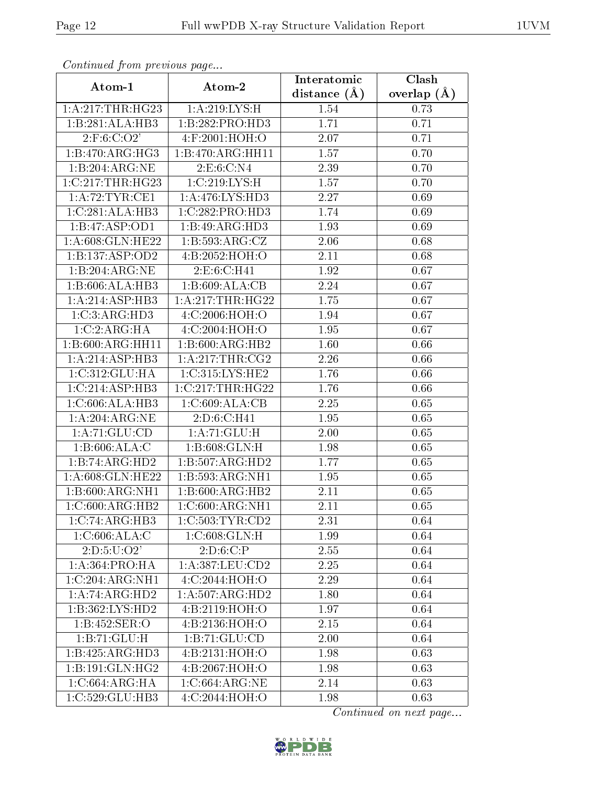| Continuata from previous page         |                        | Interatomic    | Clash           |
|---------------------------------------|------------------------|----------------|-----------------|
| Atom-1                                | Atom-2                 | distance $(A)$ | overlap $(\AA)$ |
| 1:A:217:THR:HG23                      | 1:A:219:LYS:H          | 1.54           | 0.73            |
| 1:B:281:ALA:HB3                       | 1:B:282:PRO:HD3        | 1.71           | 0.71            |
| 2:F:6:C:O2'                           | 4:F:2001:HOH:O         | 2.07           | 0.71            |
| 1:B:470:ARG:HG3                       | 1:B:470:ARG:HH11       | 1.57           | 0.70            |
| 1:B:204:ARG:NE                        | 2:E:6:C:N4             | 2.39           | 0.70            |
| 1:C:217:THR:HG23                      | 1:C:219:LYS:H          | 1.57           | 0.70            |
| 1: A:72:TYR:CE1                       | 1: A:476: LYS: HD3     | 2.27           | 0.69            |
| 1:C:281:ALA:HB3                       | 1:C:282:PRO:HD3        | 1.74           | 0.69            |
| 1:B:47:ASP:OD1                        | 1:B:49:ARG:HD3         | 1.93           | 0.69            |
| 1:A:608:GLN:HE22                      | 1:B:593:ARG:CZ         | 2.06           | 0.68            |
| 1:B:137:ASP:OD2                       | 4:B:2052:HOH:O         | 2.11           | 0.68            |
| 1:B:204:ARG:NE                        | 2:E:6:C:H41            | 1.92           | 0.67            |
| 1:B:606:ALA:HB3                       | 1:B:609:ALA:CB         | 2.24           | 0.67            |
| 1:A:214:ASP:HB3                       | 1:A:217:THR:HG22       | 1.75           | 0.67            |
| 1:C:3:ARG:HD3                         | 4:C:2006:HOH:O         | 1.94           | 0.67            |
| 1:C:2:ARG:HA                          | 4:C:2004:HOH:O         | 1.95           | 0.67            |
| 1:B:600:ARG:HH11                      | 1:B:600:ARG:HB2        | 1.60           | 0.66            |
| 1:A:214:ASP:HB3                       | 1: A:217:THR:CG2       | 2.26           | 0.66            |
| 1:C:312:GLU:HA                        | 1:C:315:LYS:HE2        | 1.76           | 0.66            |
| 1:C:214:ASP:HB3                       | 1:C:217:THR:HG22       | 1.76           | 0.66            |
| 1:C:606:ALA:HB3                       | 1:C:609:ALA:CB         | 2.25           | 0.65            |
| 1: A:204:ARG:NE                       | 2:D:6:C:H41            | 1.95           | 0.65            |
| 1:A:71:GLU:CD                         | 1:A:71:GLU:H           | 2.00           | 0.65            |
| 1:B:606:ALA:C                         | 1: B:608: GLN:H        | 1.98           | 0.65            |
| 1:B:74:ARG:HD2                        | 1:B:507:ARG:HD2        | 1.77           | 0.65            |
| 1:A:608:GLN:HE22                      | 1:B:593:ARG:NH1        | 1.95           | 0.65            |
| 1:B:600:ARG:NH1                       | 1:B:600:ARG:HB2        | 2.11           | 0.65            |
| 1:C:600:ARG:HB2                       | 1:C:600:ARG:NH1        | 2.11           | 0.65            |
| 1:C:74:ARG:HB3                        | 1:C:503:TYR:CD2        | 2.31           | 0.64            |
| 1:C:606:ALA:C                         | 1: C:608: GLN:H        | 1.99           | 0.64            |
| 2: D: 5: U: O2'                       | $2:D:6:C.\overline{P}$ | 2.55           | 0.64            |
| 1:A:364:PRO:HA                        | 1: A: 387: LEU: CD2    | 2.25           | 0.64            |
| 1:C:204:ARG:NH1                       | 4: C: 2044: HOH:O      | 2.29           | 0.64            |
| 1:A:74:ARG:HD2                        | 1:A:507:ARG:HD2        | 1.80           | 0.64            |
| 1:B:362:LYS:HD2                       | 4:B:2119:HOH:O         | 1.97           | 0.64            |
| 1:B:452:SER:O                         | 4:B:2136:HOH:O         | 2.15           | 0.64            |
| 1:B:71:GLU:H                          | 1:B:71:GLU:CD          | 2.00           | 0.64            |
| $1:B:425:A\overline{\mathrm{RG:HD3}}$ | 4:B:2131:HOH:O         | 1.98           | 0.63            |
| 1:B:191:GLN:HG2                       | 4:B:2067:HOH:O         | 1.98           | 0.63            |
| 1:C:664:ARG:HA                        | 1:C:664:ARG:NE         | 2.14           | 0.63            |
| 1:C:529:GLU:HB3                       | 4:C:2044:HOH:O         | 1.98           | 0.63            |

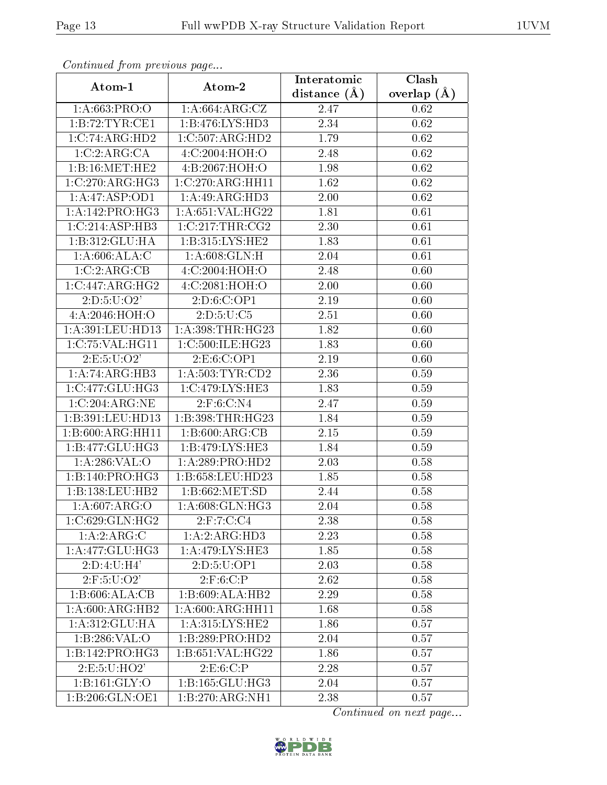| Continuati pont previous page |                              | Interatomic      | Clash           |
|-------------------------------|------------------------------|------------------|-----------------|
| Atom-1                        | Atom-2                       | distance $(\AA)$ | overlap $(\AA)$ |
| 1: A:663:PRO:O                | 1: A:664: ARG: CZ            | 2.47             | 0.62            |
| 1:B:72:TYR:CE1                | 1:B:476:LYS:HD3              | 2.34             | 0.62            |
| 1:C:74:ARG:HD2                | 1:C:507:ARG:HD2              | 1.79             | 0.62            |
| 1:C:2:ARG:CA                  | 4: C:2004: HOH:O             | 2.48             | 0.62            |
| 1: B:16: MET:HE2              | 4:B:2067:HOH:O               | 1.98             | 0.62            |
| 1:C:270:ARG:HG3               | 1:C:270:ARG:HH11             | 1.62             | 0.62            |
| 1:A:47:ASP:OD1                | 1:A:49:ARG:HD3               | 2.00             | 0.62            |
| 1: A:142: PRO:HG3             | 1:A:651:VAL:HG22             | 1.81             | 0.61            |
| 1:C:214:ASP:HB3               | $1:C:2\overline{17:THR:CG2}$ | 2.30             | 0.61            |
| 1: B: 312: GLU: HA            | 1: B:315: LYS: HE2           | 1.83             | 0.61            |
| 1: A:606:ALA:C                | 1: A:608: GLN: H             | 2.04             | 0.61            |
| 1:C:2:ARG:CB                  | 4:C:2004:HOH:O               | 2.48             | 0.60            |
| 1:C:447:ARG:HG2               | 4:C:2081:HOH:O               | 2.00             | 0.60            |
| 2: D: 5: U: O2'               | 2:D:6:C:OP1                  | 2.19             | 0.60            |
| 4:A:2046:HOH:O                | 2: D: 5: U: C5               | 2.51             | 0.60            |
| 1:A:391:LEU:HD13              | 1:A:398:THR:HG23             | 1.82             | 0.60            |
| 1:C:75:VAL:HG11               | 1:C:500:ILE:HG23             | 1.83             | 0.60            |
| 2: E: 5: U: O2'               | 2: E: 6: C: OP1              | 2.19             | 0.60            |
| 1:A:74:ARG:HB3                | 1: A:503: TYR:CD2            | 2.36             | 0.59            |
| 1:C:477:GLU:HG3               | 1:C:479:LYS:HE3              | 1.83             | 0.59            |
| 1:C:204:ARG:NE                | 2:F:6:C:N4                   | 2.47             | 0.59            |
| 1:B:391:LEU:HD13              | 1:B:398:THR:HG23             | 1.84             | 0.59            |
| 1: B:600:ARG:HH11             | 1: B:600:ARG:CB              | 2.15             | 0.59            |
| 1:B:477:GLU:HG3               | 1: B:479: LYS: HE3           | 1.84             | 0.59            |
| 1: A:286: VAL:O               | 1:A:289:PRO:HD2              | 2.03             | 0.58            |
| $1:B:140:PRO:\overline{HG3}$  | 1:B:658:LEU:HD23             | 1.85             | 0.58            |
| 1:B:138:LEU:HB2               | 1:B:662:MET:SD               | 2.44             | 0.58            |
| 1: A:607: ARG:O               | 1:A:608:GLN:HG3              | 2.04             | 0.58            |
| 1:C:629:GLN:HG2               | $2:$ F:7:C:C4                | 2.38             | 0.58            |
| 1: A:2: ARG:C                 | 1:A:2:ARG:HD3                | 2.23             | 0.58            |
| 1: A:477: GLU:HG3             | 1: A:479: LYS: HE3           | 1.85             | 0.58            |
| 2:D:4:U:H4'                   | 2:D:5:U:OP1                  | 2.03             | 0.58            |
| $2:$ F:5:U:O2'                | 2: F:6:C:P                   | 2.62             | 0.58            |
| 1:B:606:ALA:CB                | 1:B:609:ALA:HB2              | 2.29             | 0.58            |
| 1: A:600:ARG:HB2              | 1: A:600:ARG:HH11            | 1.68             | 0.58            |
| 1: A:312: GLU: HA             | 1: A: 315: LYS: HE2          | 1.86             | 0.57            |
| 1:B:286:VAL:O                 | 1:B:289:PRO:HD2              | 2.04             | 0.57            |
| 1:B:142:PRO:HG3               | 1:B:651:VAL:HG22             | 1.86             | 0.57            |
| 2:E:5:U:HO2'                  | 2: E:6:C:P                   | 2.28             | 0.57            |
| 1: B: 161: GLY:O              | 1: B: 165: GLU: HG3          | 2.04             | 0.57            |
| 1:B:206:GLN:OE1               | 1:B:270:ARG:NH1              | $2.38\,$         | 0.57            |

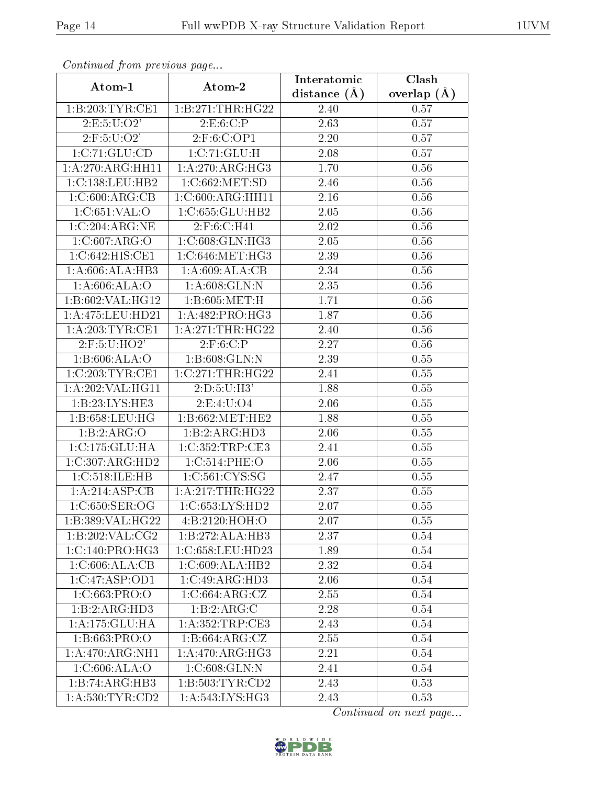| Communica from precious page |                              | Interatomic       | Clash             |
|------------------------------|------------------------------|-------------------|-------------------|
| Atom-1                       | Atom-2                       |                   | overlap $(A)$     |
| 1:B:203:TYR:CE1              | 1:B:271:THR:HG22             | 2.40              | 0.57              |
| 2:E:5:U:O2'                  | 2: E:6: C:P                  | $\overline{2}.63$ | 0.57              |
| $2:$ F:5:U:O $2'$            | 2: F:6:C:OP1                 | 2.20              | 0.57              |
| 1:C:71:GLU:CD                | 1:C:71:GLU:H                 | 2.08              | 0.57              |
| 1:A:270:ARG:HH11             | 1:A:270:ARG:HG3              | 1.70              | 0.56              |
| 1:C:138:LEU:HB2              | 1:C:662:MET:SD               | 2.46              | 0.56              |
| 1:C:600:ARG:CB               | 1:C:600:ARG:HH11             | 2.16              | 0.56              |
| 1:C:651:VAL:O                | 1:C:655:GLU:HB2              | 2.05              | 0.56              |
| 1:C:204:ARG:NE               | 2:F:6:C:H41                  | 2.02              | $0.\overline{56}$ |
| 1:C:607:ARG:O                | 1:C:608:GLN:HG3              | 2.05              | 0.56              |
| 1:C:642:HIS:CE1              | 1:C:646:MET:HG3              | 2.39              | 0.56              |
| 1:A:606:ALA:HB3              | 1:A:609:ALA:CB               | 2.34              | 0.56              |
| 1: A:606: ALA:O              | 1: A:608: GLN:N              | 2.35              | 0.56              |
| 1:B:602:VAL:HG12             | 1:B:605:MET:H                | 1.71              | 0.56              |
| 1:A:475:LEU:HD21             | 1:A:482:PRO:HG3              | 1.87              | 0.56              |
| 1: A:203:TYR:CE1             | 1: A:271:THR:HG22            | 2.40              | 0.56              |
| $2:$ F:5:U:HO2'              | 2: F:6:C:P                   | 2.27              | 0.56              |
| 1:B:606:ALA:O                | 1:B:608:GLN:N                | 2.39              | 0.55              |
| 1:C:203:TYR:CE1              | 1:C:271:THR:HG22             | 2.41              | 0.55              |
| 1:A:202:VAL:HG11             | 2: D: 5: U:H3'               | 1.88              | 0.55              |
| 1:B:23:LYS:HE3               | 2: E: 4: U: O 4              | 2.06              | 0.55              |
| 1: B:658:LEU:HG              | 1: B:662:MET:HE2             | 1.88              | 0.55              |
| 1:B:2:ARG:O                  | 1:B:2:ARG:HD3                | 2.06              | 0.55              |
| 1: C: 175: GLU: HA           | 1:C:352:TRP:CE3              | 2.41              | 0.55              |
| 1:C:307:ARG:HD2              | 1:C:514:PHE:O                | 2.06              | 0.55              |
| 1:C:518:ILE:HB               | 1:C:561:CYS:SG               | 2.47              | 0.55              |
| 1:A:214:ASP:CB               | 1: A:217:THR:HG22            | 2.37              | 0.55              |
| 1:C:650:SER:OG               | 1:C:653:LYS:HD2              | 2.07              | 0.55              |
| 1:B:389:VAL:HG22             | 4:Bi:2120:HOH:O              | 2.07              | 0.55              |
| 1:B:202:VAL:CG2              | 1:B:272:ALA:HB3              | 2.37              | 0.54              |
| 1:C:140:PRO:HG3              | 1:C:658:LEU:HD23             | 1.89              | 0.54              |
| 1:C:606:ALA:CB               | 1:C:609:ALA:HB2              | 2.32              | 0.54              |
| 1:C:47:ASP:OD1               | 1:C:49:ARG:HD3               | 2.06              | 0.54              |
| 1:C:663:PRO:O                | 1:C:664:ARG:CZ               | 2.55              | 0.54              |
| 1:B:2:ARG:HD3                | 1:B:2:ARG:C                  | 2.28              | 0.54              |
| 1:A:175:GLU:HA               | 1: A: 352: TRP: CE3          | 2.43              | 0.54              |
| 1:B:663:PRO:O                | 1:B:664:ARG:CZ               | 2.55              | 0.54              |
| 1:A:470:ARG:NH1              | $1:A:470:ARG:\overline{HG3}$ | 2.21              | 0.54              |
| 1: C:606: ALA:O              | 1: C:608: GLN:N              | 2.41              | 0.54              |
| 1:B:74:ARG:HB3               | 1:B:503:TYR:CD2              | 2.43              | 0.53              |
| 1: A: 530: TYR: CD2          | 1: A:543: LYS: HG3           | 2.43              | 0.53              |

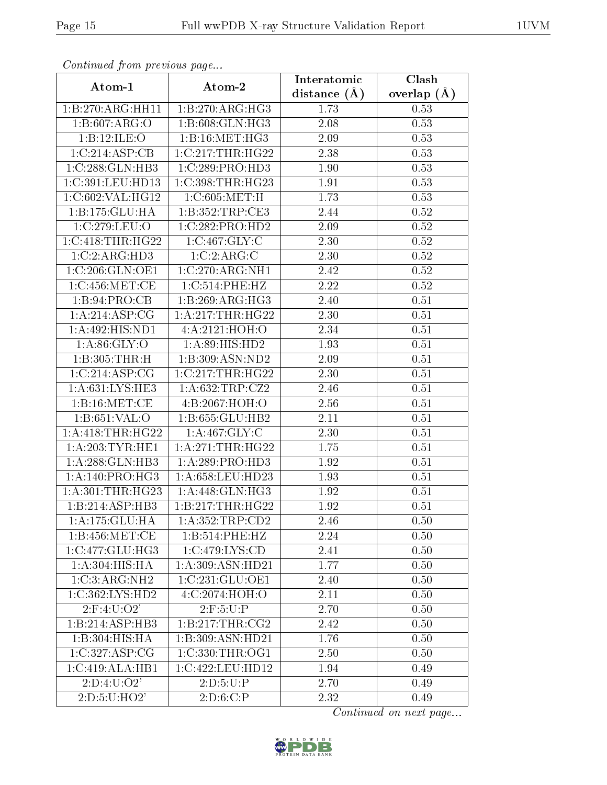| Continuea from previous page<br>Clash<br>Interatomic |                                    |                |                 |  |  |
|------------------------------------------------------|------------------------------------|----------------|-----------------|--|--|
| Atom-1                                               | Atom-2                             | distance $(A)$ | overlap $(\AA)$ |  |  |
| 1:B:270:ARG:HH11                                     | 1:B:270:ARG:HG3                    | 1.73           | 0.53            |  |  |
| 1:B:607:ARG:O                                        | 1:B:608:GLN:HG3                    | 2.08           | 0.53            |  |  |
| 1:B:12:ILE:O                                         | 1: B:16: MET:HG3                   | 2.09           | 0.53            |  |  |
| 1:C:214:ASP:CB                                       | 1:C:217:THR:HG22                   | 2.38           | 0.53            |  |  |
| 1:C:288:GLN:HB3                                      | 1:C:289:PRO:HD3                    | 1.90           | 0.53            |  |  |
| 1:C:391:LEU:HD13                                     | 1:C:398:THR:HG23                   | 1.91           | 0.53            |  |  |
| 1:C:602:VAL:HG12                                     | 1:C:605:MET:H                      | 1.73           | 0.53            |  |  |
| 1:B:175:GLU:HA                                       | 1:B:352:TRP:CE3                    | 2.44           | 0.52            |  |  |
| 1:C:279:LEU:O                                        | $1:C:282:PRO:H\overline{D2}$       | 2.09           | 0.52            |  |  |
| 1:C:418:THR:HG22                                     | 1:C:467:GLY:C                      | 2.30           | 0.52            |  |  |
| 1:C:2:ARG:HD3                                        | 1:C:2:ARG:C                        | 2.30           | 0.52            |  |  |
| 1:C:206:GLN:OE1                                      | 1:C:270:ARG:NH1                    | 2.42           | 0.52            |  |  |
| 1:C:456:MET:CE                                       | 1:C:514:PHE:HZ                     | 2.22           | 0.52            |  |  |
| 1:B:94:PRO:CB                                        | 1:B:269:ARG:HG3                    | 2.40           | 0.51            |  |  |
| 1: A:214: ASP:CG                                     | 1: A:217:THR:HG22                  | 2.30           | 0.51            |  |  |
| 1: A:492: HIS: ND1                                   | 4: A:2121:HOH:O                    | 2.34           | 0.51            |  |  |
| 1: A:86: GLY:O                                       | 1:A:89:HIS:HD2                     | 1.93           | 0.51            |  |  |
| 1:B:305:THR:H                                        | 1:B:309:ASN:ND2                    | 2.09           | 0.51            |  |  |
| 1:C:214:ASP:CG                                       | 1:C:217:THR:HG22                   | 2.30           | 0.51            |  |  |
| 1:A:631:LYS:HE3                                      | $1:$ A:632:TRP:CZ2                 | 2.46           | 0.51            |  |  |
| 1:B:16:MET:CE                                        | 4:B:2067:HOH:O                     | 2.56           | 0.51            |  |  |
| 1:B:651:VAL:O                                        | 1:B:655:GLU:HB2                    | 2.11           | 0.51            |  |  |
| 1: A: 418: THR: HG22                                 | 1: A:467: GLY: C                   | 2.30           | 0.51            |  |  |
| 1: A:203:TYR:HE1                                     | 1: A:271:THR:HG22                  | 1.75           | 0.51            |  |  |
| 1:A:288:GLN:HB3                                      | 1:A:289:PRO:HD3                    | 1.92           | 0.51            |  |  |
| 1: A:140: PRO:HG3                                    | $1:A:658:L\overline{EU:HD23}$      | 1.93           | 0.51            |  |  |
| 1:A:301:THR:HG23                                     | 1:A:448:GLN:HG3                    | 1.92           | 0.51            |  |  |
| 1:B:214:ASP:HB3                                      | 1:B:217:THR:HG22                   | 1.92           | 0.51            |  |  |
| 1:A:175:GLU:HA                                       | 1: A: 352: TRP: CD2                | 2.46           | 0.50            |  |  |
| 1:B:456:MET:CE                                       | 1:B:514:PHE:HZ                     | 2.24           | 0.50            |  |  |
| 1:C:477:GLU:HG3                                      | $1:C:479:\overline{\text{LYS:CD}}$ | 2.41           | 0.50            |  |  |
| 1: A:304: HIS: HA                                    | 1: A:309: ASN:HD21                 | 1.77           | 0.50            |  |  |
| 1:C:3:ARG:NH2                                        | 1:C:231:GLU:OE1                    | 2.40           | 0.50            |  |  |
| 1:C:362:LYS:HD2                                      | 4:C:2074:HOH:O                     | 2.11           | 0.50            |  |  |
| $2:$ F:4:U:O2'                                       | 2: F: 5: U: P                      | 2.70           | 0.50            |  |  |
| 1:B:214:ASP:HB3                                      | 1:B:217:THR:CG2                    | 2.42           | 0.50            |  |  |
| 1:B:304:HIS:HA                                       | 1:B:309:ASN:HD21                   | 1.76           | 0.50            |  |  |
| 1:C:327:ASP:CG                                       | 1:C:330:THR:OG1                    | 2.50           | 0.50            |  |  |
| 1:C:419:ALA:HB1                                      | 1:C:422:LEU:HD12                   | 1.94           | 0.49            |  |  |
| 2:D:4:U:O2'                                          | 2:D:5:U:P                          | 2.70           | 0.49            |  |  |
| 2: D: 5: U: HO2'                                     | $2:D:6:\overline{C:P}$             | 2.32           | 0.49            |  |  |

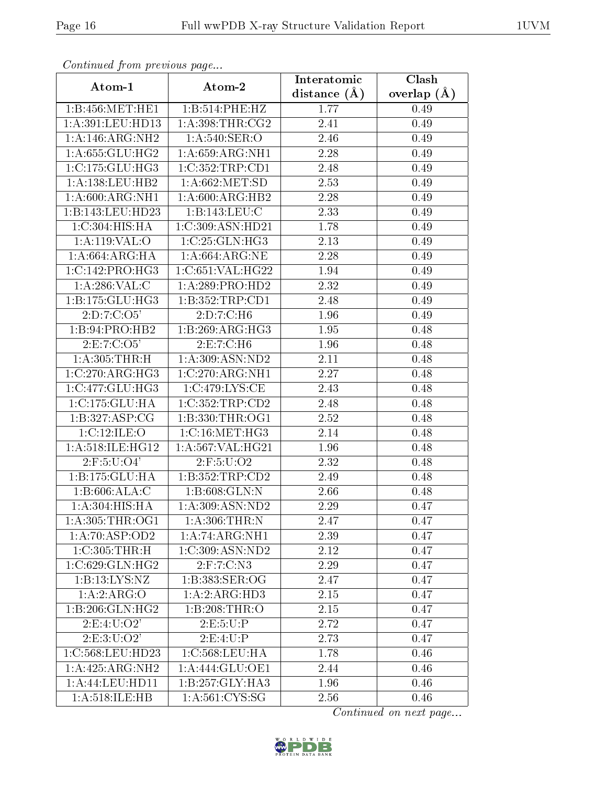| Continuea from previous page<br>Clash<br>Interatomic |                                              |                |               |  |  |
|------------------------------------------------------|----------------------------------------------|----------------|---------------|--|--|
| Atom-1                                               | Atom-2                                       | distance $(A)$ | overlap $(A)$ |  |  |
| 1:B:456:MET:HE1                                      | 1:B:514:PHE:HZ                               | 1.77           | 0.49          |  |  |
| 1:A:391:LEU:HD13                                     | 1: A:398:THR:CG2                             | 2.41           | 0.49          |  |  |
| 1:A:146:ARG:NH2                                      | 1:A:540:SER:O                                | 2.46           | 0.49          |  |  |
| 1: A:655: GLU:HG2                                    | 1: A:659: ARG: NH1                           | 2.28           | 0.49          |  |  |
| $1:C:175:GLU:\overline{H}\overline{G3}$              | 1:C:352:TRP:CD1                              | 2.48           | 0.49          |  |  |
| 1: A: 138: LEU: HB2                                  | 1: A:662:MET:SD                              | 2.53           | 0.49          |  |  |
| 1:A:600:ARG:NH1                                      | 1:A:600:ARG:HB2                              | 2.28           | 0.49          |  |  |
| 1:B:143:LEU:HD23                                     | 1:B:143:LEU:C                                | 2.33           | 0.49          |  |  |
| 1:C:304:HIS:HA                                       | 1:C:309:ASN:HD21                             | 1.78           | 0.49          |  |  |
| 1:A:119:VAL:O                                        | 1:C:25:GLN:HG3                               | 2.13           | 0.49          |  |  |
| 1: A:664: ARG: HA                                    | 1: A:664:ARG:NE                              | 2.28           | 0.49          |  |  |
| 1:C:142:PRO:HG3                                      | 1:C:651:VAL:HG22                             | 1.94           | 0.49          |  |  |
| 1: A:286: VAL: C                                     | 1:A:289:PRO:HD2                              | 2.32           | 0.49          |  |  |
| 1: B: 175: GLU: HG3                                  | 1:B:352:TRP:CD1                              | 2.48           | 0.49          |  |  |
| 2:D:7:C:O5'                                          | 2:D:7:C:H6                                   | 1.96           | 0.49          |  |  |
| 1:B:94:PRO:HB2                                       | 1:B:269:ARG:HG3                              | 1.95           | 0.48          |  |  |
| 2:E:7:C:O5'                                          | 2:E:7:C:H6                                   | 1.96           | 0.48          |  |  |
| 1: A:305:THR:H                                       | 1:A:309:ASN:ND2                              | 2.11           | 0.48          |  |  |
| 1:C:270:ARG:HG3                                      | 1:C:270:ARG:NH1                              | 2.27           | 0.48          |  |  |
| 1:C:477:GLU:HG3                                      | 1:C:479:LYS:CE                               | 2.43           | 0.48          |  |  |
| 1:C:175:GLU:HA                                       | 1:C:352:TRP:CD2                              | 2.48           | 0.48          |  |  |
| 1:B:327:ASP:CG                                       | 1:B:330:THR:OG1                              | 2.52           | 0.48          |  |  |
| 1:C:12:ILE:O                                         | $1:C:16:\overline{\mathrm{MET:HG3}}$         | 2.14           | 0.48          |  |  |
| 1:A:518:ILE:HG12                                     | 1:A:567:VAL:HG21                             | 1.96           | 0.48          |  |  |
| $2:$ F:5:U:O4'                                       | 2:F:5:U:O2                                   | 2.32           | 0.48          |  |  |
| 1:B:175:GLU:HA                                       | 1:B:352:TRP:CD2                              | 2.49           | 0.48          |  |  |
| 1:B:606:ALA:C                                        | 1:B:608:GLN:N                                | 2.66           | 0.48          |  |  |
| 1: A:304: HIS: HA                                    | 1:A:309:ASN:ND2                              | $2.29\,$       | 0.47          |  |  |
| 1: A:305:THR:OG1                                     | 1: A:306:THR:N                               | 2.47           | 0.47          |  |  |
| 1:A:70:ASP:OD2                                       | 1:A:74:ARG:NH1                               | 2.39           | 0.47          |  |  |
| $1:C:305:\overline{\text{THR:H}}$                    | $1:C:309:AS\overline{N:ND2}$                 | 2.12           | 0.47          |  |  |
| 1:C:629:GLN:HG2                                      | $2:$ F:7:C:N3                                | 2.29           | 0.47          |  |  |
| 1: B: 13: LYS: NZ                                    | 1:B:383:SER:OG                               | 2.47           | 0.47          |  |  |
| 1:A:2:ARG:O                                          | 1:A:2:ARG:HD3                                | 2.15           | 0.47          |  |  |
| 1:B:206:GLN:HG2                                      | 1:B:208:THR:O                                | 2.15           | 0.47          |  |  |
| 2:E:4:U:O2'                                          | 2:E:5:U:P                                    | 2.72           | 0.47          |  |  |
| 2:E:3:U:O2'                                          | 2:E:4:U:P                                    | 2.73           | 0.47          |  |  |
| 1:C:568:LEU:HD23                                     | 1:C:568:LEU:HA                               | 1.78           | 0.46          |  |  |
| 1:A:425:ARG:NH2                                      | $1:$ A:444:GLU:OE1                           | 2.44           | 0.46          |  |  |
| 1: A:44: LEU: HD11                                   | 1:B:257:GLY:HA3                              | 1.96           | 0.46          |  |  |
| 1:A:518:ILE:HB                                       | $1: A:561: \overline{\text{CYS}: \text{SG}}$ | 2.56           | 0.46          |  |  |

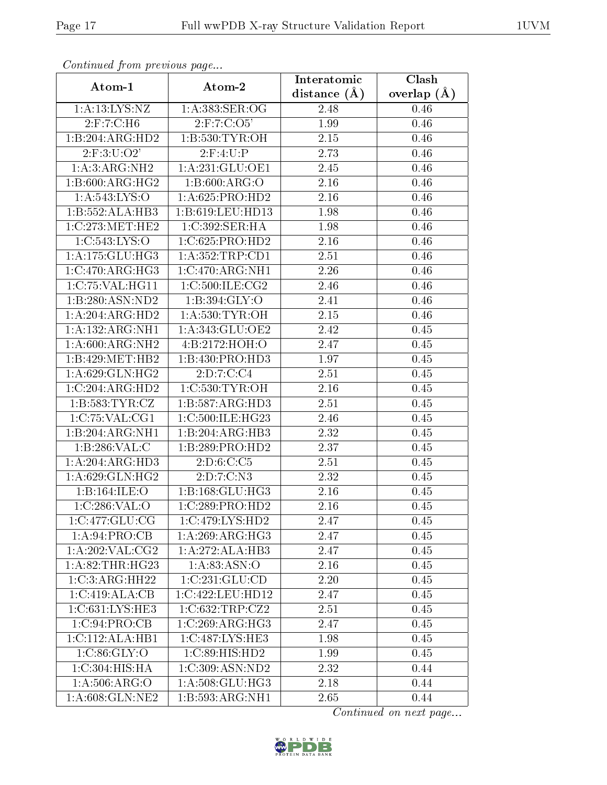| Communica from precious page   |                             | Interatomic    | Clash           |
|--------------------------------|-----------------------------|----------------|-----------------|
| Atom-1                         | Atom-2                      | distance $(A)$ | overlap $(\AA)$ |
| 1:A:13:LYS:NZ                  | 1:A:383:SER:OG              | 2.48           | 0.46            |
| $2:$ F: $7:$ C:H6              | $2:$ F:7:C:O5'              | 1.99           | 0.46            |
| 1:B:204:ARG:HD2                | 1:B:530:TYR:OH              | 2.15           | 0.46            |
| $2:$ F:3:U:O2'                 | 2: F:4: U:P                 | 2.73           | 0.46            |
| 1:A:3:ARG:NH2                  | 1:A:231:GLU:OE1             | 2.45           | 0.46            |
| 1: B:600:ARG:HG2               | 1: B:600: ARG:O             | 2.16           | 0.46            |
| 1: A: 543: LYS: O              | 1: A:625: PRO:HD2           | 2.16           | 0.46            |
| 1:B:552:ALA:HB3                | 1:B:619:LEU:HD13            | 1.98           | 0.46            |
| 1:C:273:MET:HE2                | 1:C:392:SER:HA              | 1.98           | 0.46            |
| 1:C:543:LYS:O                  | 1:C:625:PRO:HD2             | 2.16           | 0.46            |
| 1:A:175:GLU:HG3                | 1: A: 352: TRP: CD1         | 2.51           | 0.46            |
| 1:C:470:ARG:HG3                | 1:C:470:ARG:NH1             | 2.26           | 0.46            |
| 1:C:75:VAL:HG11                | 1:C:500:ILE:CG2             | 2.46           | 0.46            |
| 1:B:280:ASN:ND2                | 1:B:394:GLY:O               | 2.41           | 0.46            |
| 1:A:204:ARG:HD2                | 1: A:530: TYR:OH            | 2.15           | 0.46            |
| 1:A:132:ARG:NH1                | 1: A:343: GLU:OE2           | 2.42           | 0.45            |
| 1: A:600:ARG:NH2               | 4:B:2172:HOH:O              | 2.47           | 0.45            |
| 1:B:429:MET:HB2                | 1:B:430:PRO:HD3             | 1.97           | 0.45            |
| 1: A:629: GLN: HG2             | 2:D:7:C:C4                  | 2.51           | 0.45            |
| 1:C:204:ARG:HD2                | 1: C:530: TYR:OH            | 2.16           | 0.45            |
| 1: B: 583: TYR: CZ             | 1:B:587:ARG:HD3             | 2.51           | 0.45            |
| 1:C:75:VAL:CG1                 | 1:C:500:ILE:HG23            | 2.46           | 0.45            |
| 1:B:204:ARG:NH1                | 1:B:204:ARG:HB3             | 2.32           | 0.45            |
| 1:B:286:VAL:C                  | 1:B:289:PRO:HD2             | 2.37           | 0.45            |
| 1:A:204:ARG:HD3                | 2: D:6:C:C5                 | 2.51           | 0.45            |
| 1:A:629:GLN:HG2                | 2:D:7:C:N3                  | 2.32           | 0.45            |
| 1:B:164:ILE:O                  | 1: B: 168: GLU: HG3         | 2.16           | 0.45            |
| 1:C:286:VAL:O                  | 1:C:289:PRO:HD2             | 2.16           | 0.45            |
| 1:C:477:GLU:CG                 | 1:C:479:LYS:HD2             | 2.47           | 0.45            |
| 1:A:94:PRO:CB                  | 1:A:269:ARG:HG3             | 2.47           | 0.45            |
| 1:A:202:VAL:CG2                | 1:A:272:ALA:HB3             | 2.47           | 0.45            |
| 1:A:82:THR:HG23                | 1:A:83:ASN:O                | 2.16           | 0.45            |
| 1:C:3:ARG:HH22                 | 1:C:231:GLU:CD              | 2.20           | 0.45            |
| 1:C:419:ALA:CB                 | 1:C:422:LEU:HD12            | 2.47           | 0.45            |
| 1:C:631:LYS:HE3                | 1:C:632:TRP:CZ2             | 2.51           | 0.45            |
| 1:C:94:PRO:CB                  | 1:C:269:ARG:HG3             | 2.47           | 0.45            |
| 1:C:112:ALA:HB1                | 1:C:487:LYS:HE3             | 1.98           | 0.45            |
| 1:C:86:GLY:O                   | $1:C:89:HIS:\overline{HD2}$ | 1.99           | 0.45            |
| 1:C:304:HIS:HA                 | 1:C:309:ASN:ND2             | 2.32           | 0.44            |
| 1: A:506: ARG:O                | 1: A:508: GLU:HG3           | 2.18           | 0.44            |
| $1: A:608: \overline{GLN:NE2}$ | 1:B:593:ARG:NH1             | 2.65           | 0.44            |

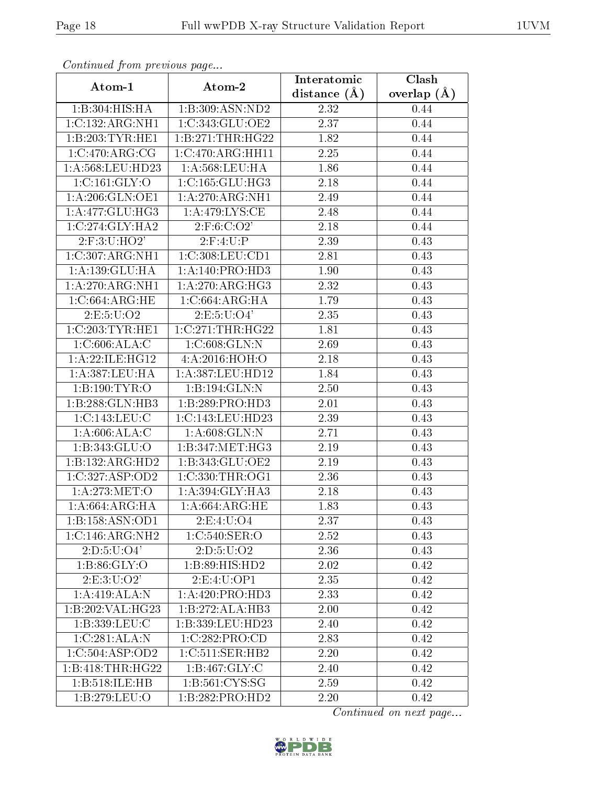| Continuea from previous page<br>$\overline{\text{Clash}}$<br>Interatomic |                      |                |               |  |
|--------------------------------------------------------------------------|----------------------|----------------|---------------|--|
| Atom-1                                                                   | Atom-2               | distance $(A)$ | overlap $(A)$ |  |
| 1:B:304:HIS:HA                                                           | 1:B:309:ASN:ND2      | 2.32           | 0.44          |  |
| 1:C:132:ARG:NH1                                                          | 1:C:343:GLU:OE2      | 2.37           | 0.44          |  |
| 1:B:203:TYR:HE1                                                          | 1:B:271:THR:HG22     | 1.82           | 0.44          |  |
| 1:C:470:ARG:CG                                                           | 1:C:470:ARG:HH11     | 2.25           | 0.44          |  |
| 1:A:568:LEU:HD23                                                         | 1: A:568:LEU:HA      | 1.86           | 0.44          |  |
| 1:C:161:GLY:O                                                            | 1:C:165:GLU:HG3      | 2.18           | 0.44          |  |
| 1: A:206: GLN:OE1                                                        | 1: A:270:ARG:NH1     | 2.49           | 0.44          |  |
| 1: A:477: GLU:HG3                                                        | 1: A:479:LYS:CE      | 2.48           | 0.44          |  |
| 1:C:274:GLY:HA2                                                          | 2: F:6: C:O2'        | 2.18           | 0.44          |  |
| $2:$ F:3:U:HO2'                                                          | 2: F:4: U:P          | 2.39           | 0.43          |  |
| 1:C:307:ARG:NH1                                                          | $1: C:308:$ LEU:CD1  | 2.81           | 0.43          |  |
| 1:A:139:GLU:HA                                                           | 1:A:140:PRO:HD3      | 1.90           | 0.43          |  |
| 1:A:270:ARG:NH1                                                          | 1: A:270:ARG:HG3     | 2.32           | 0.43          |  |
| 1:C:664:ARG:HE                                                           | 1:C:664:ARG:HA       | 1.79           | 0.43          |  |
| 2:E:5:U:O2                                                               | 2: E: 5: U: O4'      | 2.35           | 0.43          |  |
| 1:C:203:TYR:HE1                                                          | 1:C:271:THR:HG22     | 1.81           | 0.43          |  |
| 1:C:606:ALA:C                                                            | 1: C:608: GLN:N      | 2.69           | 0.43          |  |
| 1:A:22:ILE:HG12                                                          | 4: A:2016: HOH:O     | 2.18           | 0.43          |  |
| 1:A:387:LEU:HA                                                           | 1: A: 387: LEU: HD12 | 1.84           | 0.43          |  |
| 1:B:190:TYR:O                                                            | 1:B:194:GLN:N        | 2.50           | 0.43          |  |
| 1:B:288:GLN:HB3                                                          | 1:B:289:PRO:HD3      | 2.01           | 0.43          |  |
| 1:C:143:LEU:C                                                            | 1:C:143:LEU:HD23     | 2.39           | 0.43          |  |
| 1: A:606:ALA:C                                                           | 1: A:608: GLN:N      | 2.71           | 0.43          |  |
| 1:B:343:GLU:O                                                            | 1:B:347:MET:HG3      | 2.19           | 0.43          |  |
| 1:B:132:ARG:HD2                                                          | 1:B:343:GLU:OE2      | 2.19           | 0.43          |  |
| 1:C:327:ASP:OD2                                                          | 1:C:330:THR:OG1      | 2.36           | 0.43          |  |
| 1: A:273:MET:O                                                           | 1:A:394:GLY:HA3      | 2.18           | 0.43          |  |
| 1:A:664:ARG:HA                                                           | 1: A:664: ARG: HE    | 1.83           | 0.43          |  |
| 1:B:158:ASN:OD1                                                          | 2:E:4:U:O4           | 2.37           | 0.43          |  |
| $1:C:146:A\overline{RG:NH2}$                                             | 1:C:540:SER:O        | 2.52           | 0.43          |  |
| 2: D: 5: U: O4'                                                          | 2: D: 5: U: O2       | 2.36           | 0.43          |  |
| 1:B:86:GLY:O                                                             | 1:B:89:HIS:HD2       | 2.02           | 0.42          |  |
| 2:E:3:U:O2'                                                              | 2:E:4:U:OP1          | 2.35           | 0.42          |  |
| 1:A:419:ALA:N                                                            | 1:A:420:PRO:HD3      | 2.33           | 0.42          |  |
| 1:B:202:VAL:HG23                                                         | 1:B:272:ALA:HB3      | 2.00           | 0.42          |  |
| 1:B:339:LEU:C                                                            | 1:B:339:LEU:HD23     | 2.40           | 0.42          |  |
| 1:C:281:ALA:N                                                            | 1:C:282:PRO:CD       | 2.83           | 0.42          |  |
| 1:C:504:ASP:OD2                                                          | 1:C:511:SER:HB2      | 2.20           | 0.42          |  |
| 1:B:418:THR:HG22                                                         | 1: B: 467: GLY: C    | 2.40           | 0.42          |  |
| 1:B:518:ILE:HB                                                           | 1: B:561: CYS:SG     | 2.59           | 0.42          |  |
| 1:B:279:LEU:O                                                            | 1:B:282:PRO:HD2      | 2.20           | 0.42          |  |

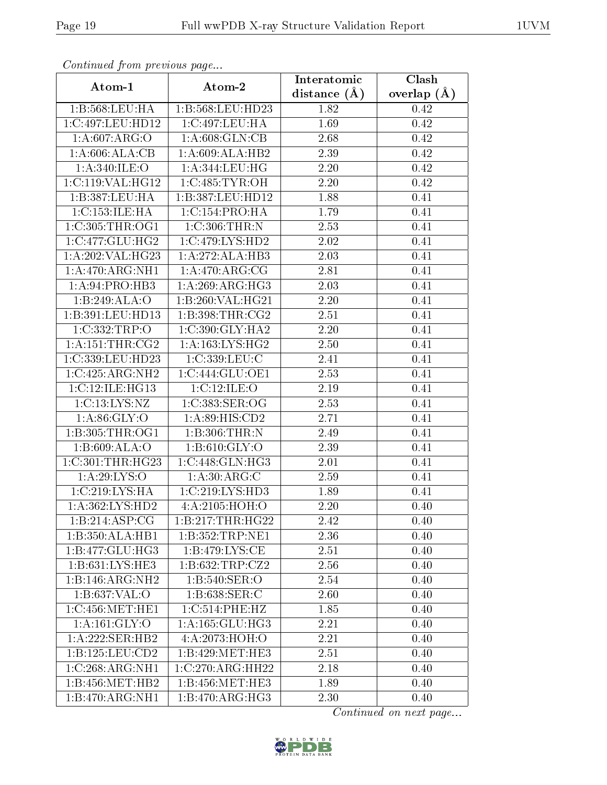| Continuea from previous page |                             | Interatomic    | Clash         |  |
|------------------------------|-----------------------------|----------------|---------------|--|
| Atom-1                       | Atom-2                      | distance $(A)$ | overlap $(A)$ |  |
| 1:B:568:LEU:HA               | 1:B:568:LEU:HD23            | 1.82           | 0.42          |  |
| 1:C:497:LEU:HD12             | 1:C:497:LEU:HA              | 1.69           | 0.42          |  |
| 1: A:607: ARG:O              | 1: A:608: GLN:CB            | 2.68           | 0.42          |  |
| 1: A:606:ALA:CB              | 1:A:609:ALA:HB2             | 2.39           | 0.42          |  |
| 1: A:340: ILE:O              | 1: A:344:LEU:HG             | 2.20           | 0.42          |  |
| 1:C:119:VAL:HG12             | 1:C:485:TYR:OH              | 2.20           | 0.42          |  |
| 1:B:387:LEU:HA               | 1:B:387:LEU:HD12            | 1.88           | 0.41          |  |
| 1:C:153:ILE:HA               | 1:C:154:PRO:HA              | 1.79           | 0.41          |  |
| 1:C:305:THR:OG1              | 1: C:306:THR:N              | 2.53           | 0.41          |  |
| 1:C:477:GLU:HG2              | 1:C:479:LYS:HD2             | 2.02           | 0.41          |  |
| 1:A:202:VAL:HG23             | 1:A:272:ALA:HB3             | 2.03           | 0.41          |  |
| 1:A:470:ARG:NH1              | 1:A:470:ARG:CG              | 2.81           | 0.41          |  |
| 1: A:94: PRO:HB3             | 1: A:269: ARG:HG3           | 2.03           | 0.41          |  |
| 1:B:249:ALA:O                | 1: B:260: VAL:HG21          | 2.20           | 0.41          |  |
| 1:B:391:LEU:HD13             | 1:B:398:THR:CG2             | 2.51           | 0.41          |  |
| 1:C:332:TRP:O                | 1:C:390:GLY:HA2             | 2.20           | 0.41          |  |
| 1: A: 151: THE: CG2          | 1: A: 163: LYS: HG2         | 2.50           | 0.41          |  |
| 1:C:339:LEU:HD23             | 1:C:339:LEU:C               | 2.41           | 0.41          |  |
| 1:C:425:ARG:NH2              | 1:C:444:GLU:OE1             | 2.53           | 0.41          |  |
| 1:C:12:ILE:HG13              | 1:C:12:ILE:O                | 2.19           | 0.41          |  |
| 1:C:13:LYS:NZ                | 1:C:383:SER:OG              | 2.53           | 0.41          |  |
| 1: A:86: GLY:O               | 1: A:89: HIS: CD2           | 2.71           | 0.41          |  |
| 1:B:305:THR:OG1              | 1:B:306:THR:N               | 2.49           | 0.41          |  |
| 1:B:609:ALA:O                | 1: B:610: GLY:O             | 2.39           | 0.41          |  |
| 1:C:301:THR:HG23             | 1:C:448:GLN:HG3             | 2.01           | 0.41          |  |
| 1: A:29: LYS:O               | 1: A:30:ARG:C               | 2.59           | 0.41          |  |
| 1:C:219:LYS:HA               | 1:C:219:LYS:HD3             | 1.89           | 0.41          |  |
| 1: A:362:LYS:HD2             | $4:A:2105:\overline{HOH:O}$ | 2.20           | 0.40          |  |
| 1:B:214:ASP:CG               | 1:B:217:THR:HG22            | 2.42           | 0.40          |  |
| 1:B:350:ALA:HB1              | 1:B:352:TRP:NE1             | 2.36           | 0.40          |  |
| 1:B:477:GLU:HG3              | 1:B:479:LYS:CE              | 2.51           | 0.40          |  |
| 1: B: 631: LYS: HE3          | 1: B:632:TRP: CZ2           | 2.56           | 0.40          |  |
| 1:B:146:ARG:NH2              | 1:B:540:SER:O               | 2.54           | 0.40          |  |
| 1:B:637:VAL:O                | 1:B:638:SER:C               | 2.60           | 0.40          |  |
| 1:C:456:MET:HE1              | 1:C:514:PHE:HZ              | 1.85           | 0.40          |  |
| 1: A: 161: GLY: O            | 1: A: 165: GLU: HG3         | 2.21           | 0.40          |  |
| 1:A:222:SER:HB2              | 4:A:2073:HOH:O              | 2.21           | 0.40          |  |
| 1:B:125:LEU:CD2              | 1:B:429:MET:HE3             | 2.51           | 0.40          |  |
| 1:C:268:ARG:NH1              | 1:C:270:ARG:HH22            | 2.18           | 0.40          |  |
| 1:B:456:MET:HB2              | 1:B:456:MET:HE3             | 1.89           | 0.40          |  |
| 1:B:470:ARG:NH1              | 1:B:470:ARG:HG3             | 2.30           | 0.40          |  |

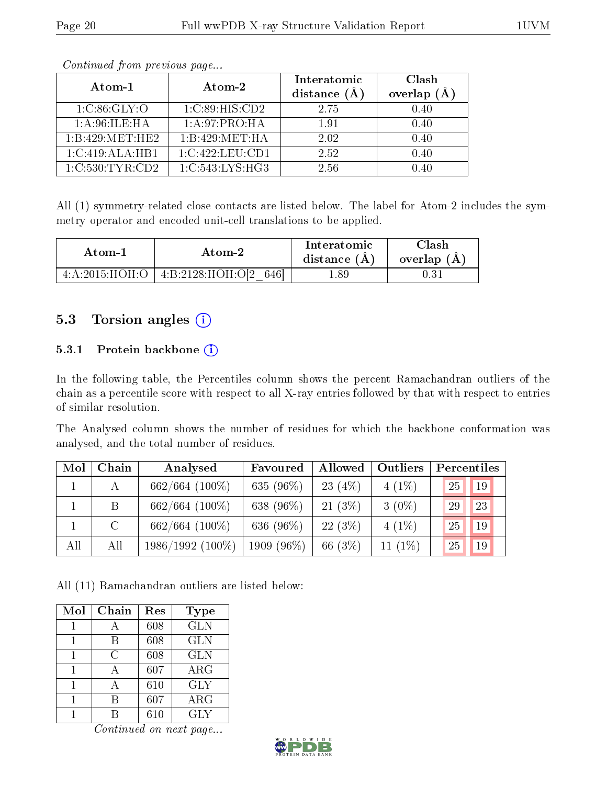| Atom-1           | Atom-2          | Interatomic<br>distance (A | Clash<br>overlap $(A)$ |
|------------------|-----------------|----------------------------|------------------------|
| 1: C:86: GLY:O   | 1:C:89:HIS:CD2  | 2.75                       | 0.40                   |
| 1: A:96: ILE: HA | 1:A:97:PRO:HA   | 1.91                       | 0.40                   |
| 1:B:429:MET:HE2  | 1:B:429:MET:HA  | 2.02                       | 0.40                   |
| 1:C:419:ALA:HB1  | 1:C:422:LEU:CD1 | 2.52                       | 0.40                   |
| 1:C:530:TYR:CD2  | 1:C:543:LYS:HG3 | 2.56                       | 0.40                   |

All (1) symmetry-related close contacts are listed below. The label for Atom-2 includes the symmetry operator and encoded unit-cell translations to be applied.

| Atom-1         | Atom-2                         | Interatomic<br>distance $(A)$ | <b>Clash</b><br>overlap $(A)$ |
|----------------|--------------------------------|-------------------------------|-------------------------------|
| 4:A:2015:HOH:O | 4: B: 2128: HOH: O[2]<br>-6461 | 1.89                          |                               |

#### 5.3 Torsion angles  $(i)$

#### 5.3.1 Protein backbone (i)

In the following table, the Percentiles column shows the percent Ramachandran outliers of the chain as a percentile score with respect to all X-ray entries followed by that with respect to entries of similar resolution.

The Analysed column shows the number of residues for which the backbone conformation was analysed, and the total number of residues.

| Mol | Chain   | Analysed           | Favoured   | Allowed   | Outliers   | Percentiles |    |
|-----|---------|--------------------|------------|-----------|------------|-------------|----|
|     |         | $662/664$ (100%)   | 635 (96%)  | $23(4\%)$ | $4(1\%)$   | 25          | 19 |
|     | B       | $662/664$ (100%)   | 638 (96%)  | $21(3\%)$ | $3(0\%)$   | 29          | 23 |
|     | $\rm C$ | $662/664$ (100%)   | 636 (96%)  | $22(3\%)$ | $4(1\%)$   | 25          | 19 |
| All | All     | $1986/1992$ (100%) | 1909 (96%) | 66 (3%)   | 11 $(1\%)$ | 25          | 19 |

All (11) Ramachandran outliers are listed below:

| Mol | Chain | Res | Type       |
|-----|-------|-----|------------|
|     |       | 608 | <b>GLN</b> |
|     | В     | 608 | <b>GLN</b> |
|     | С     | 608 | <b>GLN</b> |
|     |       | 607 | $\rm{ARG}$ |
|     |       | 610 | <b>GLY</b> |
|     |       | 607 | ARG        |
|     |       | 610 | GLY        |

 $\overline{Continued}$  on next page...

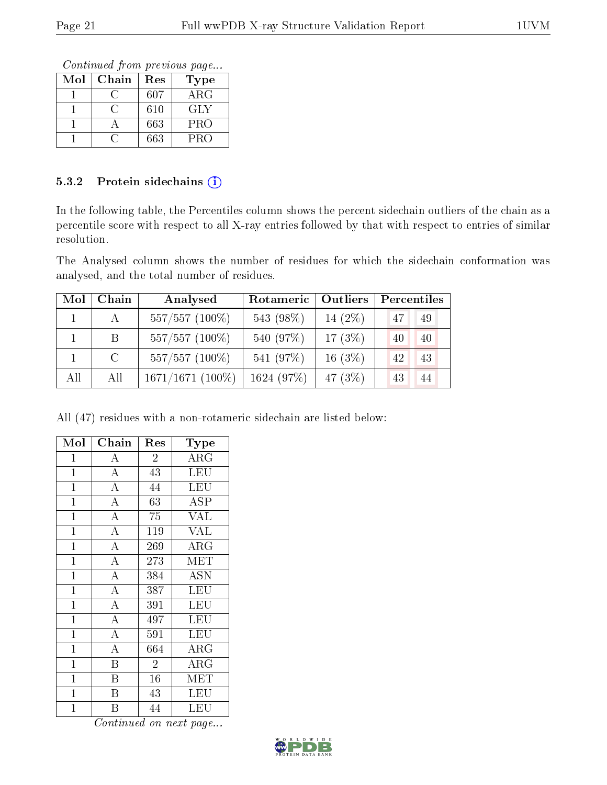Continued from previous page...

| $\operatorname{Mol}$ | Chain | Res | Type       |
|----------------------|-------|-----|------------|
|                      |       | 607 | $\rm{ARG}$ |
|                      |       | 610 | GLY        |
|                      |       | 663 | <b>PRO</b> |
|                      |       | 663 | PRO        |

#### 5.3.2 Protein sidechains (i)

In the following table, the Percentiles column shows the percent sidechain outliers of the chain as a percentile score with respect to all X-ray entries followed by that with respect to entries of similar resolution.

The Analysed column shows the number of residues for which the sidechain conformation was analysed, and the total number of residues.

| Mol | Chain         | Analysed           | Rotameric  | Outliers   | Percentiles |
|-----|---------------|--------------------|------------|------------|-------------|
|     | A             | $557/557$ (100%)   | 543 (98%)  | 14 $(2\%)$ | 47<br>49    |
|     | B             | $557/557$ (100%)   | 540 (97%)  | $17(3\%)$  | 40<br>40    |
|     | $\mathcal{C}$ | $557/557$ (100%)   | 541 (97%)  | $16(3\%)$  | 42<br>43    |
| All | All           | $1671/1671$ (100%) | 1624 (97%) | 47 (3\%)   | 43<br>44    |

All (47) residues with a non-rotameric sidechain are listed below:

| Mol            | Chain                   | Res            | Type                       |
|----------------|-------------------------|----------------|----------------------------|
| 1              | $\bf{A}$                | $\overline{2}$ | $\overline{\rm{A}}\rm{RG}$ |
| $\mathbf{1}$   | $\overline{A}$          | 43             | LEU                        |
| $\overline{1}$ | $\overline{A}$          | 44             | LEU                        |
| $\overline{1}$ | $\overline{\rm A}$      | 63             | ASP                        |
| $\mathbf{1}$   | $\overline{\rm A}$      | 75             | <b>VAL</b>                 |
| $\mathbf 1$    | $\overline{\rm A}$      | $\bar{1}19$    | $\overline{\text{VAL}}$    |
| $\mathbf{1}$   | $\overline{\rm A}$      | 269            | ARG                        |
| $\mathbf 1$    | $\overline{A}$          | 273            | <b>MET</b>                 |
| $\mathbf 1$    | $\overline{A}$          | 384            | <b>ASN</b>                 |
| $\mathbf{1}$   | $\overline{A}$          | 387            | LEU                        |
| $\mathbf{1}$   | $\overline{\rm A}$      | 391            | LEU                        |
| $\mathbf{1}$   | $\overline{\rm A}$      | 497            | LEU                        |
| $\mathbf{1}$   | $\overline{\rm A}$      | 591            | LEU                        |
| $\mathbf{1}$   | $\overline{\rm A}$      | 664            | ${\rm ARG}$                |
| $\mathbf{1}$   | $\boldsymbol{B}$        | $\overline{2}$ | $\rm{ARG}$                 |
| 1              | B                       | 16             | MET                        |
| 1              | B                       | 43             | LEU                        |
| $\overline{1}$ | $\overline{\mathrm{B}}$ | 44             | LEU                        |

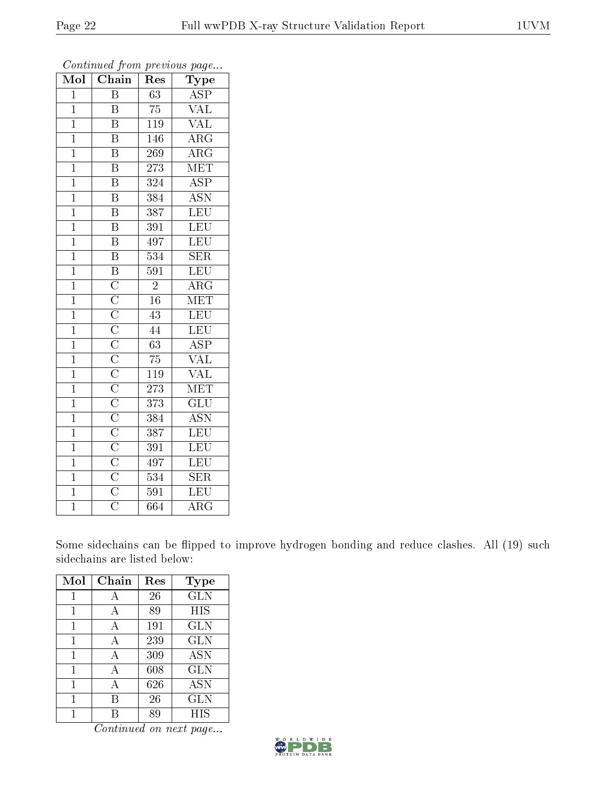| Mol            | $\overline{\text{C}}$ hain | $\operatorname{Res}% \left( \mathcal{N}\right) \equiv\operatorname{Res}(\mathcal{N}_{0})\cap\mathcal{N}_{1}$ | Type                      |
|----------------|----------------------------|--------------------------------------------------------------------------------------------------------------|---------------------------|
| $\overline{1}$ | $\overline{\mathrm{B}}$    | 63                                                                                                           | $\overline{\text{ASP}}$   |
| $\mathbf{1}$   | B                          | $\overline{75}$                                                                                              | $\overline{\text{VAL}}$   |
| $\overline{1}$ | $\overline{\mathrm{B}}$    | 119                                                                                                          | $\overline{\text{VAL}}$   |
| $\mathbf{1}$   | $\overline{\mathrm{B}}$    | 146                                                                                                          | $\rm{ARG}$                |
| $\overline{1}$ | $\overline{\mathrm{B}}$    | $\overline{269}$                                                                                             | $\overline{\rm{ARG}}$     |
| $\overline{1}$ | $\overline{\mathrm{B}}$    | 273                                                                                                          | MET                       |
| $\overline{1}$ | $\overline{\mathrm{B}}$    | 324                                                                                                          | $\overline{\text{ASP}}$   |
| $\mathbf{1}$   | $\overline{\mathrm{B}}$    | 384                                                                                                          | $\overline{\mathrm{ASN}}$ |
| $\mathbf{1}$   | $\overline{\text{B}}$      | 387                                                                                                          | LEU                       |
| $\overline{1}$ | $\overline{\mathrm{B}}$    | 391                                                                                                          | $\overline{\text{LEU}}$   |
| $\overline{1}$ | $\overline{\mathrm{B}}$    | 497                                                                                                          | LEU                       |
| $\mathbf{1}$   | $\overline{\mathrm{B}}$    | $\overline{534}$                                                                                             | $\overline{\text{SER}}$   |
| $\overline{1}$ | $\overline{B}$             | 591                                                                                                          | <b>LEU</b>                |
| $\overline{1}$ | $\overline{C}$             | $\overline{2}$                                                                                               | $\rm{ARG}$                |
| $\overline{1}$ |                            | $\overline{16}$                                                                                              | MET                       |
| $\mathbf{1}$   |                            | 43                                                                                                           | LEU                       |
| $\overline{1}$ |                            | 44                                                                                                           | LEU                       |
| $\mathbf{1}$   |                            | 63                                                                                                           | <b>ASP</b>                |
| $\mathbf{1}$   |                            | 75                                                                                                           | VAL                       |
| $\mathbf{1}$   |                            | <b>119</b>                                                                                                   | $\overline{\text{VAL}}$   |
| $\overline{1}$ |                            | $\overline{273}$                                                                                             | MET                       |
| $\overline{1}$ |                            | 373                                                                                                          | $\overline{\text{GLU}}$   |
| $\overline{1}$ |                            | 384                                                                                                          | $\overline{\mathrm{ASN}}$ |
| $\overline{1}$ |                            | 387                                                                                                          | $\overline{\text{LEU}}$   |
| $\overline{1}$ |                            | 391                                                                                                          | $\overline{\text{LEU}}$   |
| $\overline{1}$ |                            | 497                                                                                                          | LEU                       |
| $\overline{1}$ |                            | $\overline{534}$                                                                                             | $\overline{\text{SER}}$   |
| $\mathbf{1}$   |                            | 591                                                                                                          | LEU                       |
| $\overline{1}$ | $\overline{\rm C}$         | 664                                                                                                          | $\overline{\rm{ARG}}$     |

Some sidechains can be flipped to improve hydrogen bonding and reduce clashes. All (19) such sidechains are listed below:

| Mol | ${\rm Chain}$ | Res | <b>Type</b> |
|-----|---------------|-----|-------------|
| 1   | А             | 26  | GLN         |
|     |               | 89  | HIS         |
| 1   | А             | 191 | <b>GLN</b>  |
| 1   | А             | 239 | GLN         |
| 1   | А             | 309 | <b>ASN</b>  |
|     |               | 608 | GLN         |
| 1   | А             | 626 | <b>ASN</b>  |
| 1   | B             | 26  | GLN         |
|     |               | 89  | HIS         |

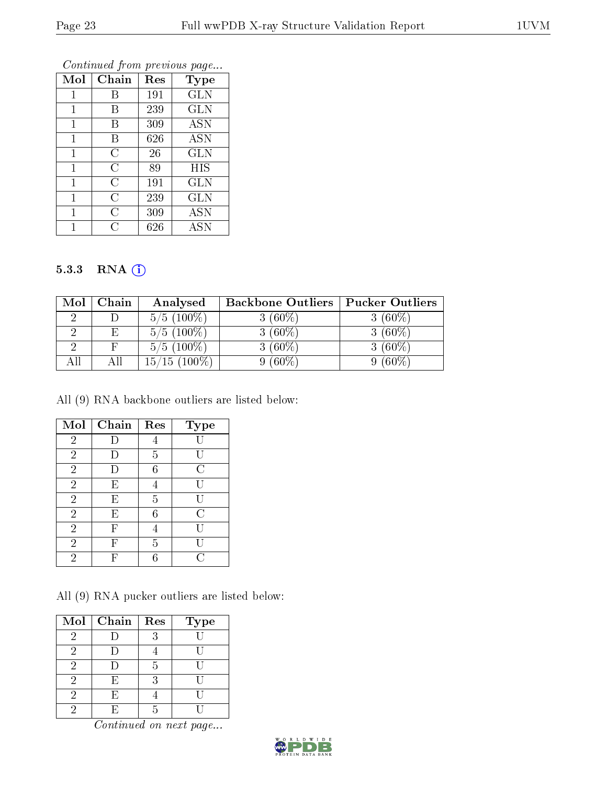| Mol | Chain          | Res | <b>Type</b> |
|-----|----------------|-----|-------------|
|     | В              | 191 | <b>GLN</b>  |
| 1   | В              | 239 | <b>GLN</b>  |
| 1   | В              | 309 | <b>ASN</b>  |
| 1   | В              | 626 | <b>ASN</b>  |
| 1   | С              | 26  | <b>GLN</b>  |
| 1   | $\overline{C}$ | 89  | <b>HIS</b>  |
| 1   | C              | 191 | <b>GLN</b>  |
| 1   | C              | 239 | <b>GLN</b>  |
| 1   | $\overline{C}$ | 309 | <b>ASN</b>  |
|     | C              | 626 | ASN         |

#### 5.3.3 RNA (1)

| $\operatorname{Mol}$ | Chain | Analysed                          | <b>Backbone Outliers</b> | <b>Pucker Outliers</b> |
|----------------------|-------|-----------------------------------|--------------------------|------------------------|
|                      |       | $5/5(100\%)$                      | 3 $(60\%)$               | $3(60\%)$              |
|                      | F.    | $5/5(100\%)$                      | $(60\%)$                 | $(60\%)$               |
|                      |       | $5/5(100\%)$                      | $(60\%)$                 | $(60\%)$               |
| All                  | Αll   | $(100\%)$<br>$^{\prime}15$<br>15/ | $(60\%)$                 | $(60\%)$               |

All (9) RNA backbone outliers are listed below:

| Mol            | Chain | Res | <b>Type</b> |
|----------------|-------|-----|-------------|
| $\sqrt{2}$     |       |     |             |
| $\overline{2}$ |       | 5   |             |
| $\overline{2}$ |       | 6   | С           |
| $\overline{2}$ | E     |     |             |
| $\overline{2}$ | E     | 5   | U           |
| $\overline{2}$ | E     | 6   | С           |
| $\overline{2}$ | F     |     |             |
| $\overline{2}$ | F     | 5   |             |
| $\overline{2}$ |       | ճ   | H           |

All (9) RNA pucker outliers are listed below:

| $\bf{Mol}$                  | Chain | Res | <b>Type</b> |
|-----------------------------|-------|-----|-------------|
| 2                           |       | 3   |             |
| 2                           |       |     |             |
| $\overline{2}$              |       | 5   |             |
| $\overline{2}$              | F)    | 3   | H           |
| 2                           | Н,    |     |             |
| $\mathcal{D}_{\mathcal{A}}$ | H,    | 5   |             |

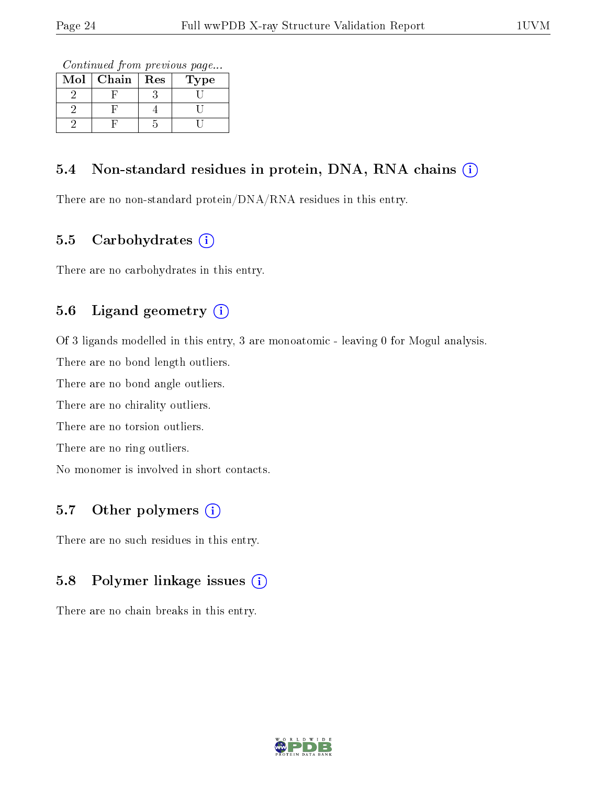Continued from previous page...

| Mol | Chain | Res | ype |
|-----|-------|-----|-----|
|     |       |     |     |
|     |       |     |     |
|     |       |     |     |

#### 5.4 Non-standard residues in protein, DNA, RNA chains  $(i)$

There are no non-standard protein/DNA/RNA residues in this entry.

#### 5.5 Carbohydrates  $(i)$

There are no carbohydrates in this entry.

#### 5.6 Ligand geometry  $(i)$

Of 3 ligands modelled in this entry, 3 are monoatomic - leaving 0 for Mogul analysis.

There are no bond length outliers.

There are no bond angle outliers.

There are no chirality outliers.

There are no torsion outliers.

There are no ring outliers.

No monomer is involved in short contacts.

#### 5.7 [O](https://www.wwpdb.org/validation/2017/XrayValidationReportHelp#nonstandard_residues_and_ligands)ther polymers (i)

There are no such residues in this entry.

#### 5.8 Polymer linkage issues (i)

There are no chain breaks in this entry.

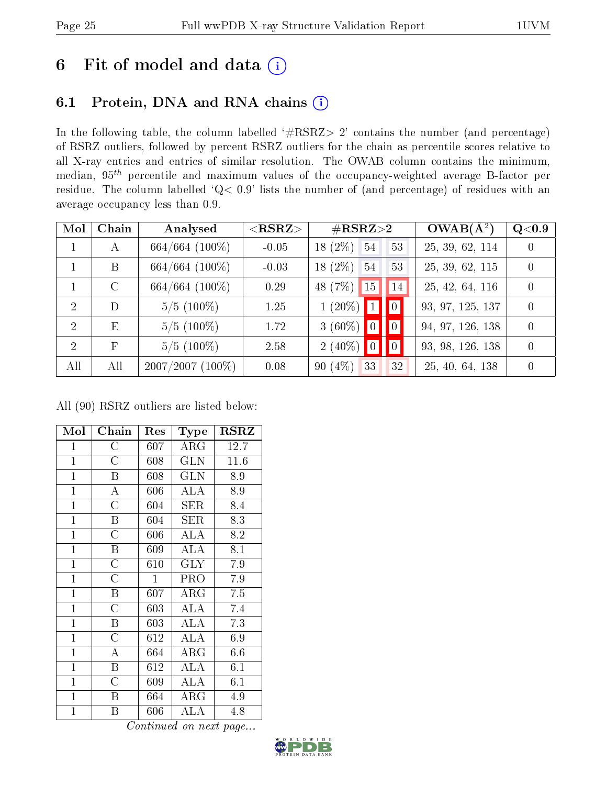# 6 Fit of model and data  $(i)$

### 6.1 Protein, DNA and RNA chains  $(i)$

In the following table, the column labelled  $#RSRZ> 2'$  contains the number (and percentage) of RSRZ outliers, followed by percent RSRZ outliers for the chain as percentile scores relative to all X-ray entries and entries of similar resolution. The OWAB column contains the minimum, median,  $95<sup>th</sup>$  percentile and maximum values of the occupancy-weighted average B-factor per residue. The column labelled ' $Q< 0.9$ ' lists the number of (and percentage) of residues with an average occupancy less than 0.9.

| Mol            | Chain      | Analysed            | $<$ RSRZ $>$ | $\#\text{RSRZ}{>}2$   | $OWAB(\overline{A^2})$ | Q <sub>0.9</sub> |
|----------------|------------|---------------------|--------------|-----------------------|------------------------|------------------|
| $\mathbf{1}$   | A          | $664/664$ $(100\%)$ | $-0.05$      | $18(2\%)$<br>54<br>53 | 25, 39, 62, 114        | $\overline{0}$   |
|                | B          | $664/664$ $(100\%)$ | $-0.03$      | $18(2\%)$<br>54<br>53 | 25, 39, 62, 115        | $\theta$         |
|                | $\rm C$    | $664/664$ $(100\%)$ | 0.29         | 48 (7\%)<br>15<br> 14 | 25, 42, 64, 116        | $\theta$         |
| $\overline{2}$ | D          | $5/5(100\%)$        | 1.25         | $1(20\%)$ 1 0         | 93, 97, 125, 137       | $\theta$         |
| 2              | E          | $5/5(100\%)$        | 1.72         | $3(60\%)$ 0 0         | 94, 97, 126, 138       | $\theta$         |
| $\mathcal{D}$  | $_{\rm F}$ | $5/5(100\%)$        | 2.58         | $2(40\%)$ 0 0         | 93, 98, 126, 138       | $\theta$         |
| All            | All        | 2007/2007 (100%)    | 0.08         | 90(4%)<br>33<br>32    | 25, 40, 64, 138        | 0                |

All (90) RSRZ outliers are listed below:

| Mol            | Chain              | Res          | Type        | <b>RSRZ</b> |
|----------------|--------------------|--------------|-------------|-------------|
| $\mathbf{1}$   | $\rm{C}$           | 607          | $\rm{ARG}$  | 12.7        |
| $\mathbf{1}$   | $\overline{\rm C}$ | 608          | <b>GLN</b>  | 11.6        |
| $\mathbf{1}$   | Β                  | 608          | <b>GLN</b>  | 8.9         |
| $\mathbf{1}$   | $\overline{A}$     | $606\,$      | ALA         | 8.9         |
| $\overline{1}$ | $\overline{\rm C}$ | 604          | ${\rm SER}$ | 8.4         |
| $\overline{1}$ | Β                  | 604          | SER         | 8.3         |
| $\mathbf{1}$   | $\overline{\rm C}$ | 606          | ALA         | 8.2         |
| $\mathbf{1}$   | Β                  | 609          | ALA         | 8.1         |
| $\mathbf{1}$   | $\overline{C}$     | 610          | <b>GLY</b>  | 7.9         |
| $\mathbf{1}$   | $\overline{\rm C}$ | $\mathbf{1}$ | PRO         | 7.9         |
| $\mathbf{1}$   | Β                  | 607          | $\rm{ARG}$  | 7.5         |
| $\overline{1}$ | $\overline{\rm C}$ | 603          | ALA         | 7.4         |
| $\mathbf{1}$   | B                  | 603          | <b>ALA</b>  | 7.3         |
| $\overline{1}$ | $\overline{C}$     | 612          | ALA         | 6.9         |
| $\mathbf{1}$   | $\overline{\rm A}$ | 664          | $\rm{ARG}$  | 6.6         |
| $\mathbf{1}$   | $\boldsymbol{B}$   | 612          | ALA         | 6.1         |
| $\mathbf{1}$   | $\overline{\rm C}$ | 609          | ALA         | 6.1         |
| $\mathbf{1}$   | Β                  | 664          | $\rm{ARG}$  | 4.9         |
| $\mathbf{1}$   | Β                  | $606\,$      | <b>ALA</b>  | 4.8         |

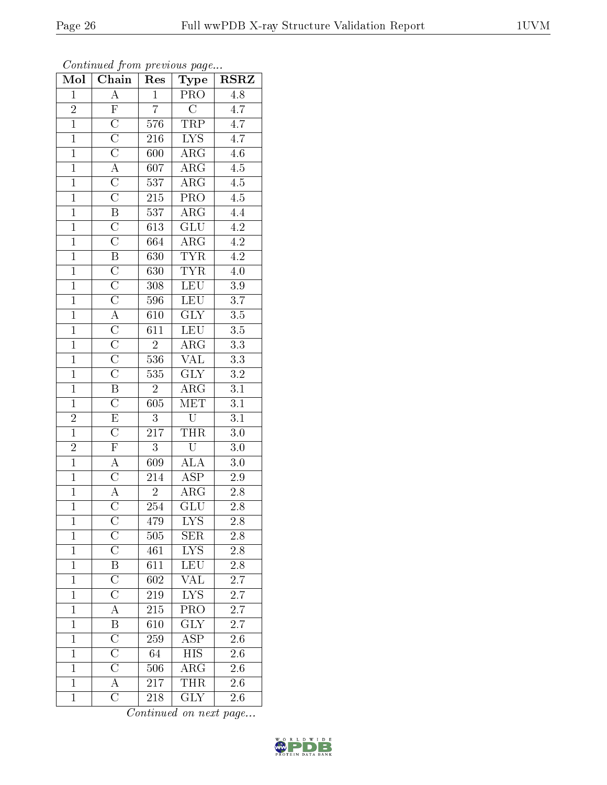| Mol            | Chain                   | Res              | Type                    | <b>RSRZ</b>      |
|----------------|-------------------------|------------------|-------------------------|------------------|
| $\mathbf{1}$   | $\overline{A}$          | $\mathbf{1}$     | <b>PRO</b>              | 4.8              |
| $\overline{2}$ | $\overline{\mathrm{F}}$ | $\overline{7}$   | $\overline{\rm C}$      | $\overline{4.7}$ |
| $\overline{1}$ | $\overline{C}$          | 576              | TRP                     | $\overline{4.7}$ |
| $\mathbf{1}$   | $\overline{C}$          | $21\overline{6}$ | $\overline{LYS}$        | $\overline{4.7}$ |
| $\overline{1}$ | $\overline{\text{C}}$   | 600              | $\overline{\rm{ARG}}$   | $\overline{4.6}$ |
| $\mathbf{1}$   | $\overline{A}$          | 607              | $\rm{ARG}$              | $\overline{4.5}$ |
| $\overline{1}$ | $\overline{C}$          | 537              | $\overline{\rm{ARG}}$   | $\overline{4.5}$ |
| $\overline{1}$ | $\overline{\rm C}$      | $\overline{215}$ | PRO                     | $\overline{4.5}$ |
| $\mathbf{1}$   | $\overline{\mathbf{B}}$ | $537\,$          | $\rm{ARG}$              | 4.4              |
| $\overline{1}$ | $\overline{\rm C}$      | 613              | $\overline{\text{GLU}}$ | $\overline{4.2}$ |
| $\overline{1}$ | $\overline{\rm C}$      | 664              | $\overline{\rm{ARG}}$   | $\overline{4.2}$ |
| $\overline{1}$ | $\overline{\mathrm{B}}$ | 630              | <b>TYR</b>              | $\overline{4.2}$ |
| $\overline{1}$ | $\overline{C}$          | 630              | <b>TYR</b>              | 4.0              |
| $\mathbf{1}$   | $\overline{\rm C}$      | 308              | LEU                     | $3.9\,$          |
| $\overline{1}$ | $\overline{\rm C}$      | 596              | LEU                     | $\overline{3.7}$ |
| $\overline{1}$ | $\overline{A}$          | 610              | $\overline{\text{GLY}}$ | $\overline{3.5}$ |
| $\overline{1}$ | $\overline{C}$          | $\overline{611}$ | LEU                     | $\overline{3.5}$ |
| $\overline{1}$ | $\overline{\text{C}}$   | $\overline{2}$   | $\overline{\rm ARG}$    | $3.3\,$          |
| $\overline{1}$ | $\overline{\rm C}$      | 536              | VAL                     | $\overline{3.3}$ |
| $\overline{1}$ | $\overline{\text{C}}$   | 535              | GLY                     | $3.2\,$          |
| $\overline{1}$ | $\overline{\mathbf{B}}$ | $\overline{2}$   | $\overline{\text{ARG}}$ | $\overline{3.1}$ |
| $\overline{1}$ | $\overline{\rm C}$      | 605              | MET                     | $\overline{3.1}$ |
|                | $\overline{E}$          | $\overline{3}$   | $\overline{\mathrm{U}}$ | 3.1              |
| $\frac{2}{1}$  | $\overline{\rm C}$      | $\overline{217}$ | THR                     | 3.0              |
| $\overline{2}$ | $\overline{F}$          | $\overline{3}$   | $\overline{\mathrm{U}}$ | 3.0              |
| $\overline{1}$ | $\overline{A}$          | 609              | <b>ALA</b>              | $\overline{3}.0$ |
| $\overline{1}$ | $\overline{\mathrm{C}}$ | 214              | $\overline{\text{ASP}}$ | 2.9              |
| $\mathbf{1}$   | $\overline{A}$          | $\overline{2}$   | $\rm{ARG}$              | $2.8\,$          |
| $\overline{1}$ | $\overline{\rm C}$      | 254              | $\overline{{\rm GLU}}$  | 2.8              |
| $\mathbf{1}$   | $\overline{\rm C}$      | 479              | $\overline{\text{LYS}}$ | 2.8              |
| $\mathbf{1}$   | $\overline{\rm C}$      | 505              | <b>SER</b>              | 2.8              |
| $\mathbf 1$    | $\overline{\rm C}$      | 461              | LYS                     | $\overline{2.8}$ |
| $\mathbf{1}$   | $\overline{\mathrm{B}}$ | 611              | <b>LEU</b>              | 2.8              |
| $\overline{1}$ | $\overline{\rm C}$      | $\overline{602}$ | $\overline{\text{VAL}}$ | $\overline{2.7}$ |
| $\mathbf{1}$   | $\overline{\rm C}$      | 219              | ${\rm LYS}$             | 2.7              |
| $\overline{1}$ | $\overline{A}$          | $\overline{215}$ | $\overline{\text{PRO}}$ | $\overline{2.7}$ |
| $\mathbf{1}$   | $\overline{\mathbf{B}}$ | 610              | GLY                     | 2.7              |
| $\mathbf{1}$   | $\overline{\text{C}}$   | 259              | $\overline{\text{ASP}}$ | 2.6              |
| $\mathbf{1}$   | $\overline{\rm C}$      | 64               | $\overline{HIS}$        | 2.6              |
| $\overline{1}$ | $\overline{C}$          | 506              | $\rm{ARG}$              | 2.6              |
| $\overline{1}$ | $\overline{A}$          | 217              | <b>THR</b>              | 2.6              |
| $\mathbf 1$    | $\overline{\rm C}$      | <b>218</b>       | $\overline{\text{GLY}}$ | 2.6              |

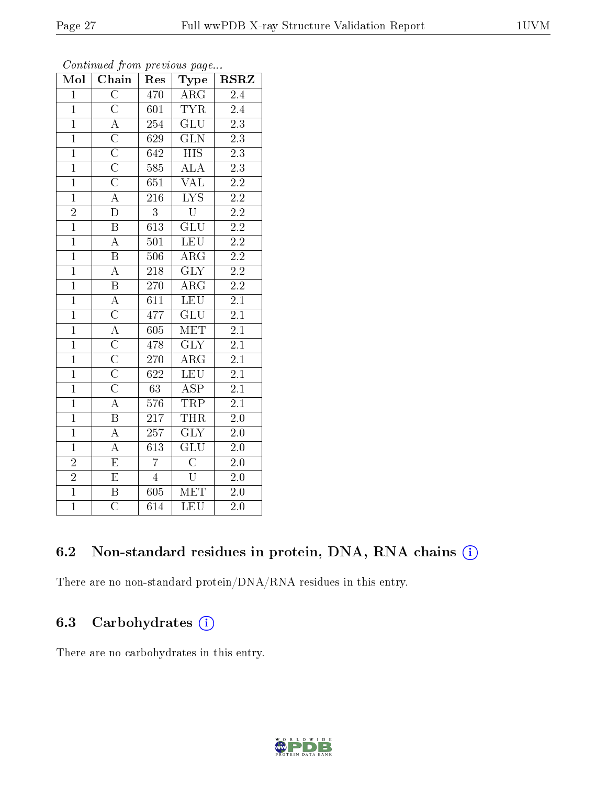| Mol                         | Chain                               | Res              | Type                      | <b>RSRZ</b>      |
|-----------------------------|-------------------------------------|------------------|---------------------------|------------------|
| $\overline{1}$              | $\overline{\rm C}$                  | 470              | $\overline{\text{ARG}}$   | $\overline{2.4}$ |
| $\overline{1}$              | $\overline{\rm C}$                  | 601              | <b>TYR</b>                | 2.4              |
| $\overline{1}$              | $\overline{\overline{A}}$           | $\overline{254}$ | $\overline{\text{GLU}}$   | $\overline{2.3}$ |
| $\overline{1}$              | $\frac{\overline{C}}{\overline{C}}$ | 629              | $\overline{\text{GLN}}$   | $\overline{2.3}$ |
| $\overline{1}$              |                                     | 642              | $\overline{\mathrm{HIS}}$ | $\overline{2.3}$ |
| $\overline{1}$              | $\overline{C}$                      | 585              | $\overline{\text{ALA}}$   | $\overline{2.3}$ |
| $\overline{1}$              | $\overline{C}$                      | 651              | $\overline{\text{VAL}}$   | $\overline{2.2}$ |
| $\overline{1}$              | $\overline{A}$                      | 216              | $\overline{\text{LYS}}$   | $\overline{2.2}$ |
| $\overline{2}$              | $\overline{\rm D}$                  | $\overline{3}$   | $\overline{\mathrm{U}}$   | $\overline{2.2}$ |
| $\overline{1}$              | $\overline{B}$                      | $\overline{613}$ | $\overline{\text{GLU}}$   | $\overline{2.2}$ |
| $\overline{1}$              | $\overline{A}$                      | 501              | <b>LEU</b>                | $\overline{2.2}$ |
| $\overline{1}$              | $\overline{B}$                      | 506              | $\overline{\rm{ARG}}$     | $\overline{2.2}$ |
| $\overline{1}$              | $\overline{A}$                      | 218              | $\overline{\text{GLY}}$   | $\overline{2.2}$ |
| $\overline{1}$              | $\overline{B}$                      | 270              | $\rm{ARG}$                | $\overline{2.2}$ |
| $\overline{1}$              | $\overline{A}$                      | $\overline{611}$ | $\overline{\text{LEU}}$   | $\overline{2.1}$ |
| $\overline{1}$              | $\overline{C}$                      | 477              | $\overline{{\rm GLU}}$    | $\overline{2.1}$ |
| $\overline{1}$              | $\frac{\overline{A}}{C}$            | 605              | <b>MET</b>                | $\overline{2.1}$ |
| $\overline{1}$              |                                     | 478              | GLY                       | $2\overline{.1}$ |
| $\overline{1}$              | $\frac{\overline{C}}{C}$            | 270              | $AR\overline{G}$          | $\overline{2.1}$ |
| $\overline{1}$              |                                     | 622              | <b>LEU</b>                | $\overline{2.1}$ |
| $\overline{1}$              | $\overline{\rm C}$                  | $\overline{63}$  | $\overline{\text{ASP}}$   | $\overline{2.1}$ |
| $\overline{1}$              | $\overline{A}$                      | $\overline{576}$ | <b>TRP</b>                | $\overline{2.1}$ |
| $\overline{1}$              | $\overline{\mathrm{B}}$             | 217              | <b>THR</b>                | $\overline{2.0}$ |
| $\overline{1}$              | $\overline{A}$                      | $\overline{257}$ | $\overline{\text{GLY}}$   | $\overline{2.0}$ |
| $\overline{1}$              | $\overline{\rm A}$                  | 613              | $\overline{\text{GLU}}$   | $\overline{2.0}$ |
|                             | $\overline{\mathrm{E}}$             | $\overline{7}$   | $\overline{\mathrm{C}}$   | $2.0\,$          |
| $\frac{2}{2}$ $\frac{1}{1}$ | $\overline{\mathrm{E}}$             | $\overline{4}$   | $\overline{\mathrm{U}}$   | $\overline{2.0}$ |
|                             | $\overline{\mathrm{B}}$             | 605              | MET                       | 2.0              |
|                             | $\overline{\rm C}$                  | 614              | LEU                       | $\overline{2.0}$ |

### 6.2 Non-standard residues in protein, DNA, RNA chains (i)

There are no non-standard protein/DNA/RNA residues in this entry.

### 6.3 Carbohydrates  $(i)$

There are no carbohydrates in this entry.